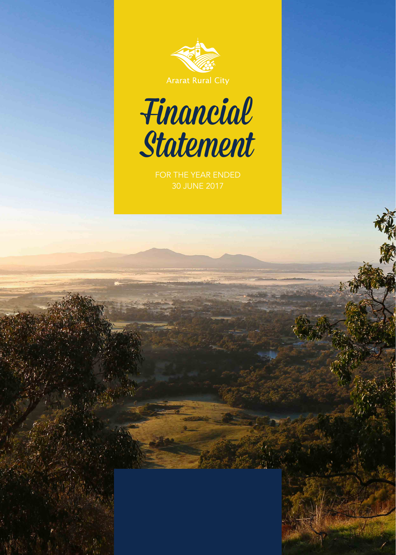

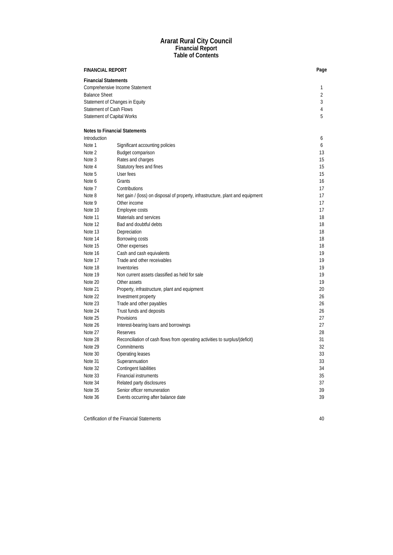## **Ararat Rural City Council Financial Report Table of Contents**

| <b>FINANCIAL REPORT</b>           |                                                                                |    |  |  |
|-----------------------------------|--------------------------------------------------------------------------------|----|--|--|
| <b>Financial Statements</b>       |                                                                                |    |  |  |
| Comprehensive Income Statement    |                                                                                |    |  |  |
| <b>Balance Sheet</b>              |                                                                                | 2  |  |  |
|                                   | Statement of Changes in Equity                                                 | 3  |  |  |
| <b>Statement of Cash Flows</b>    |                                                                                | 4  |  |  |
| <b>Statement of Capital Works</b> |                                                                                | 5  |  |  |
|                                   | <b>Notes to Financial Statements</b>                                           |    |  |  |
| Introduction                      |                                                                                | 6  |  |  |
| Note 1                            | Significant accounting policies                                                | 6  |  |  |
| Note 2                            | Budget comparison                                                              | 13 |  |  |
| Note 3                            | Rates and charges                                                              | 15 |  |  |
| Note 4                            | Statutory fees and fines                                                       | 15 |  |  |
| Note 5                            | User fees                                                                      | 15 |  |  |
| Note 6                            | Grants                                                                         | 16 |  |  |
| Note 7                            | Contributions                                                                  | 17 |  |  |
| Note 8                            | Net gain / (loss) on disposal of property, infrastructure, plant and equipment | 17 |  |  |
| Note 9                            | Other income                                                                   | 17 |  |  |
| Note 10                           | Employee costs                                                                 | 17 |  |  |
| Note 11                           | Materials and services                                                         | 18 |  |  |
| Note 12                           | Bad and doubtful debts                                                         | 18 |  |  |
| Note 13                           | Depreciation                                                                   | 18 |  |  |
| Note 14                           | Borrowing costs                                                                | 18 |  |  |
| Note 15                           | Other expenses                                                                 | 18 |  |  |
| Note 16                           | Cash and cash equivalents                                                      | 19 |  |  |
| Note 17                           | Trade and other receivables                                                    | 19 |  |  |
| Note 18                           | Inventories                                                                    | 19 |  |  |
| Note 19                           | Non current assets classified as held for sale                                 | 19 |  |  |
| Note 20                           | Other assets                                                                   | 19 |  |  |
| Note 21                           | Property, infrastructure, plant and equipment                                  | 20 |  |  |
| Note 22                           | Investment property                                                            | 26 |  |  |
| Note 23                           | Trade and other payables                                                       | 26 |  |  |
| Note 24                           | Trust funds and deposits                                                       | 26 |  |  |
| Note 25                           | Provisions                                                                     | 27 |  |  |
| Note 26                           | Interest-bearing loans and borrowings                                          | 27 |  |  |
| Note 27                           | Reserves                                                                       | 28 |  |  |
| Note 28                           | Reconciliation of cash flows from operating activities to surplus/(deficit)    | 31 |  |  |
| Note 29                           | Commitments                                                                    | 32 |  |  |
| Note 30                           | Operating leases                                                               | 33 |  |  |
| Note 31                           | Superannuation                                                                 | 33 |  |  |
| Note 32                           | Contingent liabilities                                                         | 34 |  |  |
| Note 33                           | <b>Financial instruments</b>                                                   | 35 |  |  |
| Note 34                           | Related party disclosures                                                      | 37 |  |  |
| Note 35                           | Senior officer remuneration                                                    | 39 |  |  |
| Note 36                           | Events occurring after balance date                                            | 39 |  |  |

Certification of the Financial Statements

40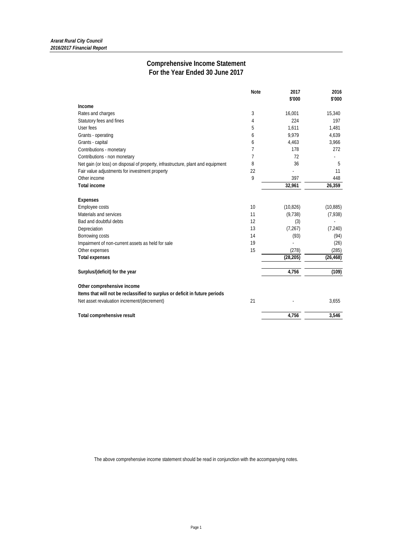# **Comprehensive Income Statement For the Year Ended 30 June 2017**

|                                                                                 | <b>Note</b> | 2017<br>\$'000 | 2016<br>\$'000 |
|---------------------------------------------------------------------------------|-------------|----------------|----------------|
| Income                                                                          |             |                |                |
| Rates and charges                                                               | 3           | 16,001         | 15,340         |
| Statutory fees and fines                                                        | 4           | 224            | 197            |
| User fees                                                                       | 5           | 1.611          | 1.481          |
| Grants - operating                                                              | 6           | 9.979          | 4,639          |
| Grants - capital                                                                | 6           | 4,463          | 3,966          |
| Contributions - monetary                                                        | 7           | 178            | 272            |
| Contributions - non monetary                                                    | 7           | 72             |                |
| Net gain (or loss) on disposal of property, infrastructure, plant and equipment | 8           | 36             | 5              |
| Fair value adjustments for investment property                                  | 22          |                | 11             |
| Other income                                                                    | 9           | 397            | 448            |
| <b>Total income</b>                                                             |             | 32,961         | 26,359         |
| <b>Expenses</b>                                                                 |             |                |                |
| Employee costs                                                                  | 10          | (10, 826)      | (10, 885)      |
| Materials and services                                                          | 11          | (9, 738)       | (7,938)        |
| Bad and doubtful debts                                                          | 12          | (3)            |                |
| Depreciation                                                                    | 13          | (7, 267)       | (7, 240)       |
| Borrowing costs                                                                 | 14          | (93)           | (94)           |
| Impairment of non-current assets as held for sale                               | 19          |                | (26)           |
| Other expenses                                                                  | 15          | (278)          | (285)          |
| <b>Total expenses</b>                                                           |             | (28, 205)      | (26, 468)      |
| Surplus/(deficit) for the year                                                  |             | 4,756          | (109)          |
| Other comprehensive income                                                      |             |                |                |
| Items that will not be reclassified to surplus or deficit in future periods     |             |                |                |
| Net asset revaluation increment/(decrement)                                     | 21          |                | 3,655          |
| Total comprehensive result                                                      |             | 4,756          | 3,546          |

The above comprehensive income statement should be read in conjunction with the accompanying notes.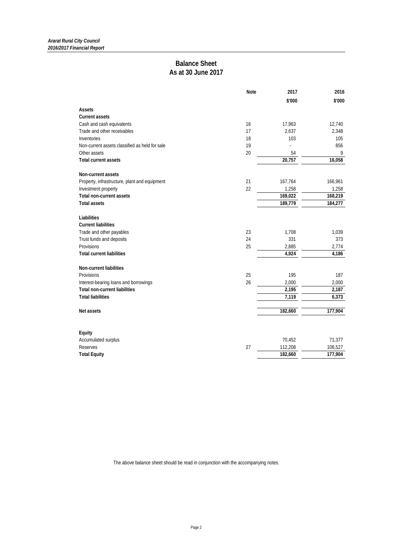# **Balance Sheet As at 30 June 2017**

|                                                | <b>Note</b> | 2017    | 2016    |
|------------------------------------------------|-------------|---------|---------|
|                                                |             | \$'000  | \$'000  |
| Assets                                         |             |         |         |
| <b>Current assets</b>                          |             |         |         |
| Cash and cash equivalents                      | 16          | 17,963  | 12,740  |
| Trade and other receivables                    | 17          | 2,637   | 2,348   |
| Inventories                                    | 18          | 103     | 105     |
| Non-current assets classified as held for sale | 19          |         | 856     |
| Other assets                                   | 20          | 54      | 9       |
| <b>Total current assets</b>                    |             | 20,757  | 16,058  |
| Non-current assets                             |             |         |         |
| Property, infrastructure, plant and equipment  | 21          | 167,764 | 166,961 |
| Investment property                            | 22          | 1,258   | 1,258   |
| <b>Total non-current assets</b>                |             | 169,022 | 168,219 |
| <b>Total assets</b>                            |             | 189,779 | 184,277 |
| Liabilities                                    |             |         |         |
| <b>Current liabilities</b>                     |             |         |         |
| Trade and other payables                       | 23          | 1,708   | 1,039   |
| Trust funds and deposits                       | 24          | 331     | 373     |
| Provisions                                     | 25          | 2,885   | 2,774   |
| <b>Total current liabilities</b>               |             | 4,924   | 4,186   |
| Non-current liabilities                        |             |         |         |
| Provisions                                     | 25          | 195     | 187     |
| Interest-bearing loans and borrowings          | 26          | 2,000   | 2,000   |
| <b>Total non-current liabilities</b>           |             | 2,195   | 2,187   |
| <b>Total liabilities</b>                       |             | 7,119   | 6,373   |
|                                                |             |         |         |
| Net assets                                     |             | 182,660 | 177,904 |
|                                                |             |         |         |
| Equity                                         |             |         |         |
| Accumulated surplus                            |             | 70,452  | 71,377  |
| <b>Reserves</b>                                | 27          | 112,208 | 106,527 |
| <b>Total Equity</b>                            |             | 182,660 | 177,904 |

The above balance sheet should be read in conjunction with the accompanying notes.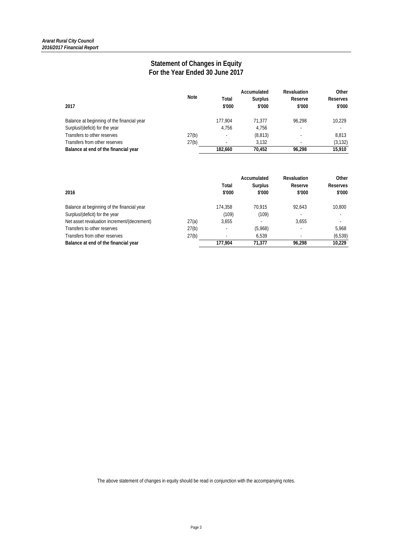# **Statement of Changes in Equity For the Year Ended 30 June 2017**

| 2017                                       | Note  | Total<br>\$'000 | Accumulated<br><b>Surplus</b><br>\$'000 | <b>Revaluation</b><br>Reserve<br>\$'000 | Other<br><b>Reserves</b><br>\$'000 |
|--------------------------------------------|-------|-----------------|-----------------------------------------|-----------------------------------------|------------------------------------|
| Balance at beginning of the financial year |       | 177.904         | 71.377                                  | 96.298                                  | 10.229                             |
| Surplus/(deficit) for the year             |       | 4.756           | 4.756                                   |                                         |                                    |
| Transfers to other reserves                | 27(b) | ٠               | (8, 813)                                |                                         | 8.813                              |
| Transfers from other reserves              | 27(b) | ٠               | 3.132                                   |                                         | (3, 132)                           |
| Balance at end of the financial year       |       | 182.660         | 70.452                                  | 96.298                                  | 15,910                             |

| 2016                                        |       | Total<br>\$'000          | Accumulated<br>Surplus<br>\$'000 | Revaluation<br>Reserve<br>\$'000 | Other<br>Reserves<br>\$'000 |
|---------------------------------------------|-------|--------------------------|----------------------------------|----------------------------------|-----------------------------|
| Balance at beginning of the financial year  |       | 174.358                  | 70.915                           | 92.643                           | 10.800                      |
| Surplus/(deficit) for the year              |       | (109)                    | (109)                            |                                  |                             |
| Net asset revaluation increment/(decrement) | 27(a) | 3.655                    | ٠                                | 3.655                            | $\overline{\phantom{a}}$    |
| Transfers to other reserves                 | 27(b) | $\overline{\phantom{a}}$ | (5,968)                          | $\overline{\phantom{a}}$         | 5.968                       |
| Transfers from other reserves               | 27(b) |                          | 6.539                            |                                  | (6, 539)                    |
| Balance at end of the financial year        |       | 177.904                  | 71.377                           | 96.298                           | 10.229                      |

The above statement of changes in equity should be read in conjunction with the accompanying notes.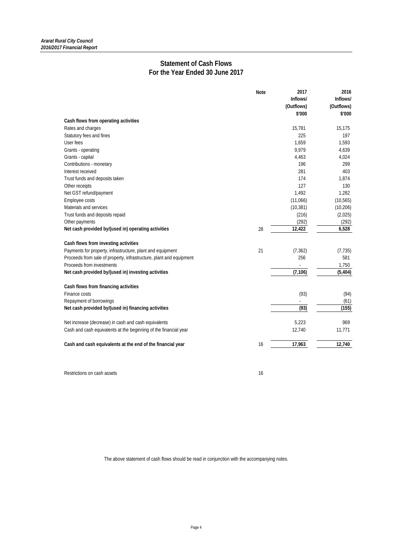# **Statement of Cash Flows For the Year Ended 30 June 2017**

|                                                                     | <b>Note</b> | 2017       | 2016       |
|---------------------------------------------------------------------|-------------|------------|------------|
|                                                                     |             | Inflows/   | Inflows/   |
|                                                                     |             | (Outflows) | (Outflows) |
|                                                                     |             | \$'000     | \$'000     |
| Cash flows from operating activities                                |             |            |            |
| Rates and charges                                                   |             | 15,781     | 15,175     |
| Statutory fees and fines                                            |             | 225        | 197        |
| User fees                                                           |             | 1,659      | 1,593      |
| Grants - operating                                                  |             | 9,979      | 4,639      |
| Grants - capital                                                    |             | 4,463      | 4,024      |
| Contributions - monetary                                            |             | 196        | 299        |
| Interest received                                                   |             | 281        | 403        |
| Trust funds and deposits taken                                      |             | 174        | 1,874      |
| Other receipts                                                      |             | 127        | 130        |
| Net GST refund/payment                                              |             | 1,492      | 1,282      |
| Employee costs                                                      |             | (11,066)   | (10, 565)  |
| Materials and services                                              |             | (10, 381)  | (10, 206)  |
| Trust funds and deposits repaid                                     |             | (216)      | (2,025)    |
| Other payments                                                      |             | (292)      | (292)      |
| Net cash provided by/(used in) operating activities                 | 28          | 12,422     | 6,528      |
| Cash flows from investing activities                                |             |            |            |
| Payments for property, infrastructure, plant and equipment          | 21          | (7, 362)   | (7, 735)   |
| Proceeds from sale of property, infrastructure, plant and equipment |             | 256        | 581        |
| Proceeds from investments                                           |             |            | 1,750      |
| Net cash provided by/(used in) investing activities                 |             | (7, 106)   | (5, 404)   |
| Cash flows from financing activities                                |             |            |            |
| Finance costs                                                       |             | (93)       | (94)       |
| Repayment of borrowings                                             |             |            | (61)       |
| Net cash provided by/(used in) financing activities                 |             | (93)       | (155)      |
| Net increase (decrease) in cash and cash equivalents                |             | 5,223      | 969        |
| Cash and cash equivalents at the beginning of the financial year    |             | 12,740     | 11,771     |
| Cash and cash equivalents at the end of the financial year          | 16          | 17,963     | 12.740     |

Restrictions on cash assets 16

The above statement of cash flows should be read in conjunction with the accompanying notes.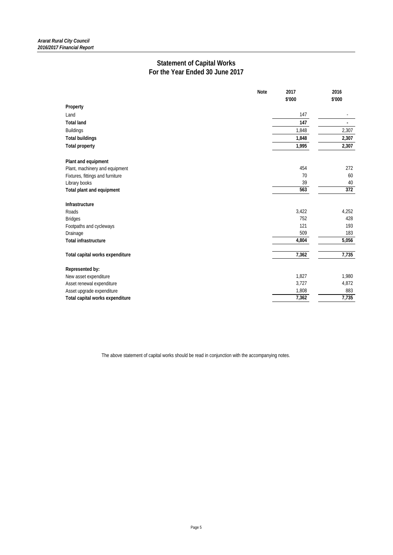# **Statement of Capital Works For the Year Ended 30 June 2017**

|                                  | <b>Note</b> | 2017   | 2016   |
|----------------------------------|-------------|--------|--------|
|                                  |             | \$'000 | \$'000 |
| Property                         |             |        |        |
| Land                             |             | 147    |        |
| <b>Total land</b>                |             | 147    | ÷      |
| <b>Buildings</b>                 |             | 1,848  | 2,307  |
| <b>Total buildings</b>           |             | 1,848  | 2,307  |
| <b>Total property</b>            |             | 1,995  | 2,307  |
| Plant and equipment              |             |        |        |
| Plant, machinery and equipment   |             | 454    | 272    |
| Fixtures, fittings and furniture |             | 70     | 60     |
| Library books                    |             | 39     | 40     |
| Total plant and equipment        |             | 563    | 372    |
| Infrastructure                   |             |        |        |
| Roads                            |             | 3,422  | 4,252  |
| <b>Bridges</b>                   |             | 752    | 428    |
| Footpaths and cycleways          |             | 121    | 193    |
| Drainage                         |             | 509    | 183    |
| <b>Total infrastructure</b>      |             | 4,804  | 5,056  |
| Total capital works expenditure  |             | 7,362  | 7,735  |
| Represented by:                  |             |        |        |
| New asset expenditure            |             | 1,827  | 1,980  |
| Asset renewal expenditure        |             | 3,727  | 4,872  |
| Asset upgrade expenditure        |             | 1,808  | 883    |
| Total capital works expenditure  |             | 7,362  | 7,735  |

The above statement of capital works should be read in conjunction with the accompanying notes.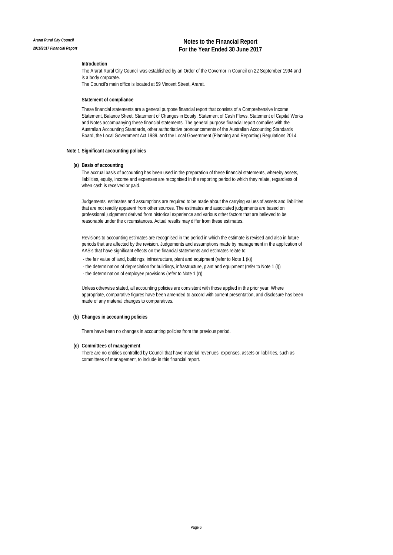## **Introduction**

The Ararat Rural City Council was established by an Order of the Governor in Council on 22 September 1994 and is a body corporate.

The Council's main office is located at 59 Vincent Street, Ararat.

#### **Statement of compliance**

These financial statements are a general purpose financial report that consists of a Comprehensive Income Statement, Balance Sheet, Statement of Changes in Equity, Statement of Cash Flows, Statement of Capital Works and Notes accompanying these financial statements. The general purpose financial report complies with the Australian Accounting Standards, other authoritative pronouncements of the Australian Accounting Standards Board, the Local Government Act 1989, and the Local Government (Planning and Reporting) Regulations 2014.

## **Note 1 Significant accounting policies**

## **(a) Basis of accounting**

The accrual basis of accounting has been used in the preparation of these financial statements, whereby assets, liabilities, equity, income and expenses are recognised in the reporting period to which they relate, regardless of when cash is received or paid.

Judgements, estimates and assumptions are required to be made about the carrying values of assets and liabilities that are not readily apparent from other sources. The estimates and associated judgements are based on professional judgement derived from historical experience and various other factors that are believed to be reasonable under the circumstances. Actual results may differ from these estimates.

Revisions to accounting estimates are recognised in the period in which the estimate is revised and also in future periods that are affected by the revision. Judgements and assumptions made by management in the application of AAS's that have significant effects on the financial statements and estimates relate to:

- the fair value of land, buildings, infrastructure, plant and equipment (refer to Note 1 (k))
- the determination of depreciation for buildings, infrastructure, plant and equipment (refer to Note 1 (l))
- the determination of employee provisions (refer to Note 1 (r))

Unless otherwise stated, all accounting policies are consistent with those applied in the prior year. Where appropriate, comparative figures have been amended to accord with current presentation, and disclosure has been made of any material changes to comparatives.

## **(b) Changes in accounting policies**

There have been no changes in accounting policies from the previous period.

#### **(c) Committees of management**

There are no entities controlled by Council that have material revenues, expenses, assets or liabilities, such as committees of management, to include in this financial report.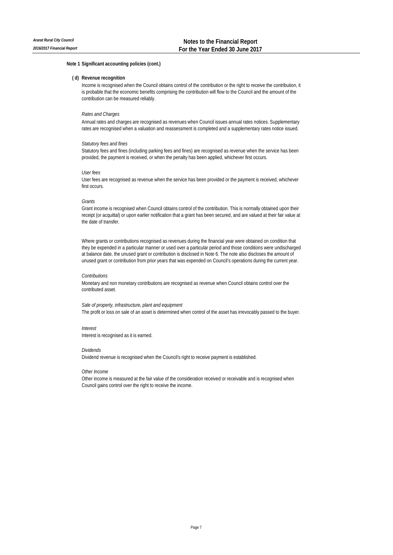## **( d) Revenue recognition**

Income is recognised when the Council obtains control of the contribution or the right to receive the contribution, it is probable that the economic benefits comprising the contribution will flow to the Council and the amount of the contribution can be measured reliably.

## *Rates and Charges*

Annual rates and charges are recognised as revenues when Council issues annual rates notices. Supplementary rates are recognised when a valuation and reassessment is completed and a supplementary rates notice issued.

## *Statutory fees and fines*

Statutory fees and fines (including parking fees and fines) are recognised as revenue when the service has been provided, the payment is received, or when the penalty has been applied, whichever first occurs.

## *User fees*

User fees are recognised as revenue when the service has been provided or the payment is received, whichever first occurs.

## *Grants*

Grant income is recognised when Council obtains control of the contribution. This is normally obtained upon their receipt (or acquittal) or upon earlier notification that a grant has been secured, and are valued at their fair value at the date of transfer.

Where grants or contributions recognised as revenues during the financial year were obtained on condition that they be expended in a particular manner or used over a particular period and those conditions were undischarged at balance date, the unused grant or contribution is disclosed in Note 6. The note also discloses the amount of unused grant or contribution from prior years that was expended on Council's operations during the current year.

#### *Contributions*

Monetary and non monetary contributions are recognised as revenue when Council obtains control over the contributed asset.

#### *Sale of property, infrastructure, plant and equipment*

The profit or loss on sale of an asset is determined when control of the asset has irrevocably passed to the buyer.

## *Interest*

Interest is recognised as it is earned.

## *Dividends*

Dividend revenue is recognised when the Council's right to receive payment is established.

#### *Other Income*

Other income is measured at the fair value of the consideration received or receivable and is recognised when Council gains control over the right to receive the income.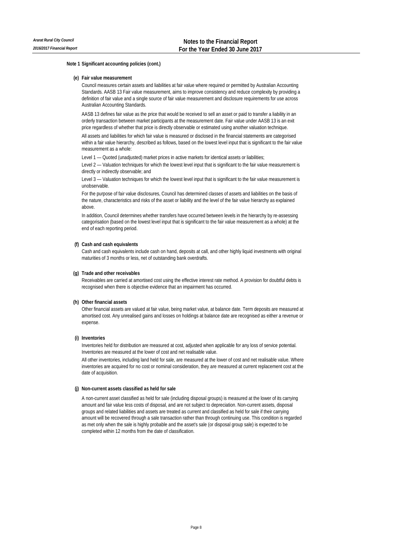#### **(e) Fair value measurement**

Council measures certain assets and liabilities at fair value where required or permitted by Australian Accounting Standards. AASB 13 Fair value measurement, aims to improve consistency and reduce complexity by providing a definition of fair value and a single source of fair value measurement and disclosure requirements for use across Australian Accounting Standards.

AASB 13 defines fair value as the price that would be received to sell an asset or paid to transfer a liability in an orderly transaction between market participants at the measurement date. Fair value under AASB 13 is an exit price regardless of whether that price is directly observable or estimated using another valuation technique.

All assets and liabilities for which fair value is measured or disclosed in the financial statements are categorised within a fair value hierarchy, described as follows, based on the lowest level input that is significant to the fair value measurement as a whole:

Level 1 — Quoted (unadjusted) market prices in active markets for identical assets or liabilities;

Level 2 — Valuation techniques for which the lowest level input that is significant to the fair value measurement is directly or indirectly observable; and

Level 3 — Valuation techniques for which the lowest level input that is significant to the fair value measurement is unobservable.

For the purpose of fair value disclosures, Council has determined classes of assets and liabilities on the basis of the nature, characteristics and risks of the asset or liability and the level of the fair value hierarchy as explained above

In addition, Council determines whether transfers have occurred between levels in the hierarchy by re-assessing categorisation (based on the lowest level input that is significant to the fair value measurement as a whole) at the end of each reporting period.

## **(f) Cash and cash equivalents**

Cash and cash equivalents include cash on hand, deposits at call, and other highly liquid investments with original maturities of 3 months or less, net of outstanding bank overdrafts.

#### **(g) Trade and other receivables**

Receivables are carried at amortised cost using the effective interest rate method. A provision for doubtful debts is recognised when there is objective evidence that an impairment has occurred.

## **(h) Other financial assets**

Other financial assets are valued at fair value, being market value, at balance date. Term deposits are measured at amortised cost. Any unrealised gains and losses on holdings at balance date are recognised as either a revenue or expense.

## **(i) Inventories**

Inventories held for distribution are measured at cost, adjusted when applicable for any loss of service potential. Inventories are measured at the lower of cost and net realisable value.

All other inventories, including land held for sale, are measured at the lower of cost and net realisable value. Where inventories are acquired for no cost or nominal consideration, they are measured at current replacement cost at the date of acquisition.

## **(j) Non-current assets classified as held for sale**

A non-current asset classified as held for sale (including disposal groups) is measured at the lower of its carrying amount and fair value less costs of disposal, and are not subject to depreciation. Non-current assets, disposal groups and related liabilities and assets are treated as current and classified as held for sale if their carrying amount will be recovered through a sale transaction rather than through continuing use. This condition is regarded as met only when the sale is highly probable and the asset's sale (or disposal group sale) is expected to be completed within 12 months from the date of classification.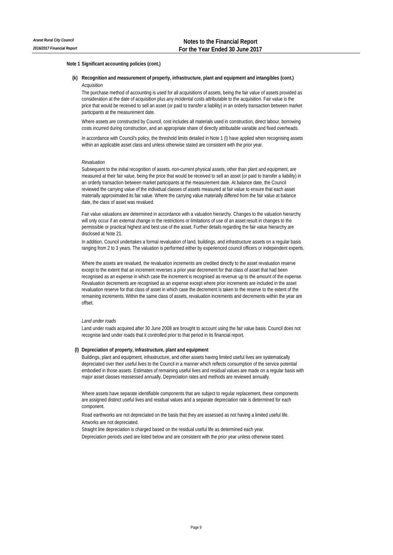## **(k) Recognition and measurement of property, infrastructure, plant and equipment and intangibles (cont.)** *Acquisition*

The purchase method of accounting is used for all acquisitions of assets, being the fair value of assets provided as consideration at the date of acquisition plus any incidental costs attributable to the acquisition. Fair value is the price that would be received to sell an asset (or paid to transfer a liability) in an orderly transaction between market participants at the measurement date.

Where assets are constructed by Council, cost includes all materials used in construction, direct labour, borrowing costs incurred during construction, and an appropriate share of directly attributable variable and fixed overheads.

In accordance with Council's policy, the threshold limits detailed in Note 1 (l) have applied when recognising assets within an applicable asset class and unless otherwise stated are consistent with the prior year.

#### *Revaluation*

Subsequent to the initial recognition of assets, non-current physical assets, other than plant and equipment, are measured at their fair value, being the price that would be received to sell an asset (or paid to transfer a liability) in an orderly transaction between market participants at the measurement date. At balance date, the Council reviewed the carrying value of the individual classes of assets measured at fair value to ensure that each asset materially approximated its fair value. Where the carrying value materially differed from the fair value at balance date, the class of asset was revalued.

Fair value valuations are determined in accordance with a valuation hierarchy. Changes to the valuation hierarchy will only occur if an external change in the restrictions or limitations of use of an asset result in changes to the permissible or practical highest and best use of the asset. Further details regarding the fair value hierarchy are disclosed at Note 21.

In addition, Council undertakes a formal revaluation of land, buildings, and infrastructure assets on a regular basis ranging from 2 to 3 years. The valuation is performed either by experienced council officers or independent experts.

Where the assets are revalued, the revaluation increments are credited directly to the asset revaluation reserve except to the extent that an increment reverses a prior year decrement for that class of asset that had been recognised as an expense in which case the increment is recognised as revenue up to the amount of the expense. Revaluation decrements are recognised as an expense except where prior increments are included in the asset revaluation reserve for that class of asset in which case the decrement is taken to the reserve to the extent of the remaining increments. Within the same class of assets, revaluation increments and decrements within the year are offset.

## *Land under roads*

Land under roads acquired after 30 June 2008 are brought to account using the fair value basis. Council does not recognise land under roads that it controlled prior to that period in its financial report.

## **(l) Depreciation of property, infrastructure, plant and equipment**

Buildings, plant and equipment, infrastructure, and other assets having limited useful lives are systematically depreciated over their useful lives to the Council in a manner which reflects consumption of the service potential embodied in those assets. Estimates of remaining useful lives and residual values are made on a regular basis with major asset classes reassessed annually. Depreciation rates and methods are reviewed annually.

Where assets have separate identifiable components that are subject to regular replacement, these components are assigned distinct useful lives and residual values and a separate depreciation rate is determined for each component.

Road earthworks are not depreciated on the basis that they are assessed as not having a limited useful life. Artworks are not depreciated.

Straight line depreciation is charged based on the residual useful life as determined each year. Depreciation periods used are listed below and are consistent with the prior year unless otherwise stated.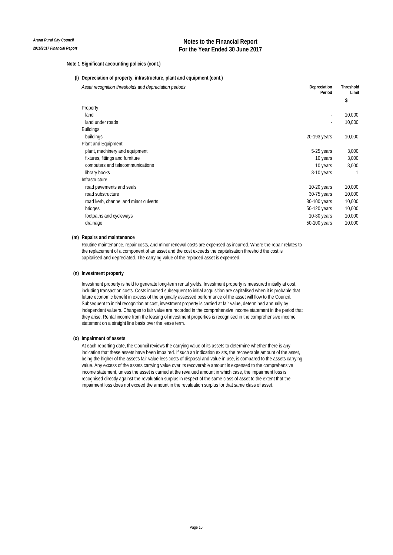**(l) Depreciation of property, infrastructure, plant and equipment (cont.)**

| Asset recognition thresholds and depreciation periods | Depreciation<br>Period   | <b>Threshold</b><br>Limit |  |
|-------------------------------------------------------|--------------------------|---------------------------|--|
|                                                       |                          | \$                        |  |
| Property                                              |                          |                           |  |
| land                                                  | $\overline{\phantom{a}}$ | 10,000                    |  |
| land under roads                                      |                          | 10,000                    |  |
| <b>Buildings</b>                                      |                          |                           |  |
| buildings                                             | 20-193 years             | 10,000                    |  |
| Plant and Equipment                                   |                          |                           |  |
| plant, machinery and equipment                        | 5-25 years               | 3,000                     |  |
| fixtures, fittings and furniture                      | 10 years                 | 3,000                     |  |
| computers and telecommunications                      | 10 years                 | 3,000                     |  |
| library books                                         | 3-10 years               |                           |  |
| Infrastructure                                        |                          |                           |  |
| road pavements and seals                              | $10-20$ years            | 10,000                    |  |
| road substructure                                     | 30-75 years              | 10,000                    |  |
| road kerb, channel and minor culverts                 | 30-100 years             | 10,000                    |  |
| bridges                                               | 50-120 years             | 10,000                    |  |
| footpaths and cycleways                               | 10-80 years              | 10,000                    |  |
| drainage                                              | 50-100 years             | 10,000                    |  |

## **(m) Repairs and maintenance**

Routine maintenance, repair costs, and minor renewal costs are expensed as incurred. Where the repair relates to the replacement of a component of an asset and the cost exceeds the capitalisation threshold the cost is capitalised and depreciated. The carrying value of the replaced asset is expensed.

## **(n) Investment property**

Investment property is held to generate long-term rental yields. Investment property is measured initially at cost, including transaction costs. Costs incurred subsequent to initial acquisition are capitalised when it is probable that future economic benefit in excess of the originally assessed performance of the asset will flow to the Council. Subsequent to initial recognition at cost, investment property is carried at fair value, determined annually by independent valuers. Changes to fair value are recorded in the comprehensive income statement in the period that they arise. Rental income from the leasing of investment properties is recognised in the comprehensive income statement on a straight line basis over the lease term.

## **(o) Impairment of assets**

At each reporting date, the Council reviews the carrying value of its assets to determine whether there is any indication that these assets have been impaired. If such an indication exists, the recoverable amount of the asset, being the higher of the asset's fair value less costs of disposal and value in use, is compared to the assets carrying value. Any excess of the assets carrying value over its recoverable amount is expensed to the comprehensive income statement, unless the asset is carried at the revalued amount in which case, the impairment loss is recognised directly against the revaluation surplus in respect of the same class of asset to the extent that the impairment loss does not exceed the amount in the revaluation surplus for that same class of asset.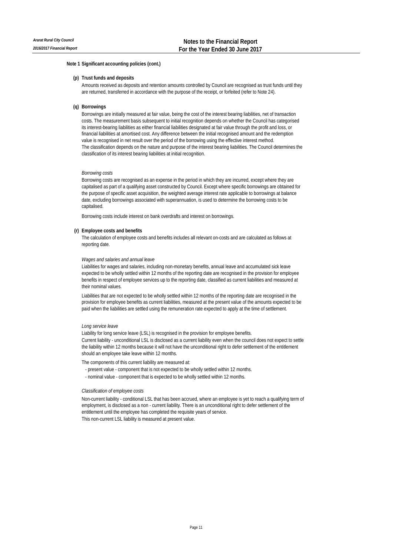#### **(p) Trust funds and deposits**

Amounts received as deposits and retention amounts controlled by Council are recognised as trust funds until they are returned, transferred in accordance with the purpose of the receipt, or forfeited (refer to Note 24).

## **(q) Borrowings**

Borrowings are initially measured at fair value, being the cost of the interest bearing liabilities, net of transaction costs. The measurement basis subsequent to initial recognition depends on whether the Council has categorised its interest-bearing liabilities as either financial liabilities designated at fair value through the profit and loss, or financial liabilities at amortised cost. Any difference between the initial recognised amount and the redemption value is recognised in net result over the period of the borrowing using the effective interest method. The classification depends on the nature and purpose of the interest bearing liabilities. The Council determines the classification of its interest bearing liabilities at initial recognition.

#### *Borrowing costs*

Borrowing costs are recognised as an expense in the period in which they are incurred, except where they are capitalised as part of a qualifying asset constructed by Council. Except where specific borrowings are obtained for the purpose of specific asset acquisition, the weighted average interest rate applicable to borrowings at balance date, excluding borrowings associated with superannuation, is used to determine the borrowing costs to be capitalised.

Borrowing costs include interest on bank overdrafts and interest on borrowings.

#### **(r) Employee costs and benefits**

The calculation of employee costs and benefits includes all relevant on-costs and are calculated as follows at reporting date.

## *Wages and salaries and annual leave*

Liabilities for wages and salaries, including non-monetary benefits, annual leave and accumulated sick leave expected to be wholly settled within 12 months of the reporting date are recognised in the provision for employee benefits in respect of employee services up to the reporting date, classified as current liabilities and measured at their nominal values.

Liabilities that are not expected to be wholly settled within 12 months of the reporting date are recognised in the provision for employee benefits as current liabilities, measured at the present value of the amounts expected to be paid when the liabilities are settled using the remuneration rate expected to apply at the time of settlement.

#### *Long service leave*

Liability for long service leave (LSL) is recognised in the provision for employee benefits. Current liability - unconditional LSL is disclosed as a current liability even when the council does not expect to settle the liability within 12 months because it will not have the unconditional right to defer settlement of the entitlement should an employee take leave within 12 months.

## The components of this current liability are measured at:

- present value component that is not expected to be wholly settled within 12 months.
- nominal value component that is expected to be wholly settled within 12 months.

## *Classification of employee costs*

Non-current liability - conditional LSL that has been accrued, where an employee is yet to reach a qualifying term of employment, is disclosed as a non - current liability. There is an unconditional right to defer settlement of the entitlement until the employee has completed the requisite years of service. This non-current LSL liability is measured at present value.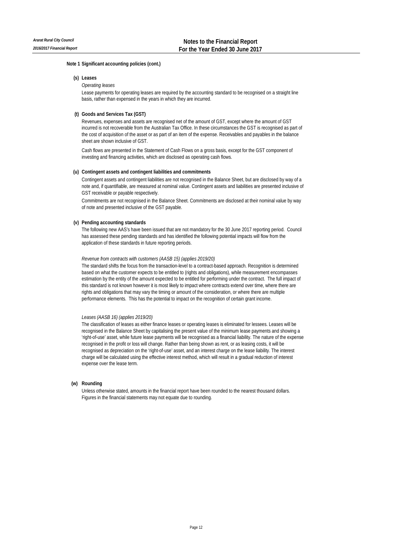## **(s) Leases**

## *Operating leases*

Lease payments for operating leases are required by the accounting standard to be recognised on a straight line basis, rather than expensed in the years in which they are incurred.

## **(t) Goods and Services Tax (GST)**

Revenues, expenses and assets are recognised net of the amount of GST, except where the amount of GST incurred is not recoverable from the Australian Tax Office. In these circumstances the GST is recognised as part of the cost of acquisition of the asset or as part of an item of the expense. Receivables and payables in the balance sheet are shown inclusive of GST.

Cash flows are presented in the Statement of Cash Flows on a gross basis, except for the GST component of investing and financing activities, which are disclosed as operating cash flows.

## **(u) Contingent assets and contingent liabilities and commitments**

Contingent assets and contingent liabilities are not recognised in the Balance Sheet, but are disclosed by way of a note and, if quantifiable, are measured at nominal value. Contingent assets and liabilities are presented inclusive of GST receivable or payable respectively.

Commitments are not recognised in the Balance Sheet. Commitments are disclosed at their nominal value by way of note and presented inclusive of the GST payable.

## **(v) Pending accounting standards**

The following new AAS's have been issued that are not mandatory for the 30 June 2017 reporting period. Council has assessed these pending standards and has identified the following potential impacts will flow from the application of these standards in future reporting periods.

## *Revenue from contracts with customers (AASB 15) (applies 2019/20)*

The standard shifts the focus from the transaction-level to a contract-based approach. Recognition is determined based on what the customer expects to be entitled to (rights and obligations), while measurement encompasses estimation by the entity of the amount expected to be entitled for performing under the contract. The full impact of this standard is not known however it is most likely to impact where contracts extend over time, where there are rights and obligations that may vary the timing or amount of the consideration, or where there are multiple performance elements. This has the potential to impact on the recognition of certain grant income.

## *Leases (AASB 16) (applies 2019/20)*

The classification of leases as either finance leases or operating leases is eliminated for lessees. Leases will be recognised in the Balance Sheet by capitalising the present value of the minimum lease payments and showing a 'right-of-use' asset, while future lease payments will be recognised as a financial liability. The nature of the expense recognised in the profit or loss will change. Rather than being shown as rent, or as leasing costs, it will be recognised as depreciation on the 'right-of-use' asset, and an interest charge on the lease liability. The interest charge will be calculated using the effective interest method, which will result in a gradual reduction of interest expense over the lease term.

## **(w) Rounding**

Unless otherwise stated, amounts in the financial report have been rounded to the nearest thousand dollars. Figures in the financial statements may not equate due to rounding.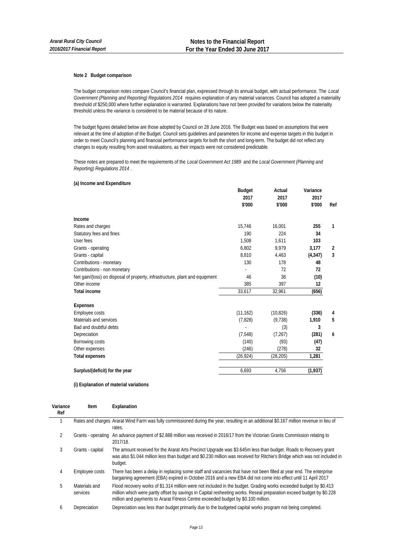## **Note 2 Budget comparison**

The budget comparison notes compare Council's financial plan, expressed through its annual budget, with actual performance. The *Local Government (Planning and Reporting) Regulations 2014* requires explanation of any material variances. Council has adopted a materiality threshold of \$250,000 where further explanation is warranted. Explanations have not been provided for variations below the materiality threshold unless the variance is considered to be material because of its nature.

The budget figures detailed below are those adopted by Council on 28 June 2016. The Budget was based on assumptions that were relevant at the time of adoption of the Budget. Council sets guidelines and parameters for income and expense targets in this budget in order to meet Council's planning and financial performance targets for both the short and long-term. The budget did not reflect any changes to equity resulting from asset revaluations, as their impacts were not considered predictable.

These notes are prepared to meet the requirements of the *Local Government Act 1989* and the *Local Government (Planning and Reporting) Regulations 2014* .

## **(a) Income and Expenditure**

| <b>Budget</b> | Actual    | Variance |                |
|---------------|-----------|----------|----------------|
| 2017          | 2017      | 2017     |                |
| \$'000        | \$'000    | \$'000   | Ref            |
|               |           |          |                |
| 15,746        | 16,001    | 255      | 1              |
| 190           | 224       | 34       |                |
| 1,508         | 1,611     | 103      |                |
| 6,802         | 9,979     | 3,177    | 2              |
| 8,810         | 4,463     | (4, 347) | $\overline{3}$ |
| 130           | 178       | 48       |                |
|               | 72        | 72       |                |
| 46            | 36        | (10)     |                |
| 385           | 397       | 12       |                |
| 33,617        | 32,961    | (656)    |                |
|               |           |          |                |
| (11, 162)     | (10, 826) | (336)    | 4              |
| (7,828)       | (9, 738)  | 1,910    | 5              |
|               | (3)       | 3        |                |
| (7, 548)      | (7,267)   | (281)    | 6              |
| (140)         | (93)      | (47)     |                |
| (246)         | (278)     | 32       |                |
| (26, 924)     | (28, 205) | 1,281    |                |
| 6,693         | 4,756     | (1,937)  |                |
|               |           |          |                |

## **(i) Explanation of material variations**

| Variance<br>Ref | Item                      | Explanation                                                                                                                                                                                                                                                                                                                    |
|-----------------|---------------------------|--------------------------------------------------------------------------------------------------------------------------------------------------------------------------------------------------------------------------------------------------------------------------------------------------------------------------------|
|                 |                           | Rates and charges Ararat Wind Farm was fully commissioned during the year, resulting in an additional \$0.167 million revenue in lieu of<br>rates.                                                                                                                                                                             |
| $\mathfrak{D}$  |                           | Grants - operating An advance payment of \$2.888 million was received in 2016/17 from the Victorian Grants Commission relating to<br>2017/18.                                                                                                                                                                                  |
| 3               | Grants - capital          | The amount received for the Ararat Arts Precinct Upgrade was \$3.645m less than budget. Roads to Recovery grant<br>was also \$1.044 million less than budget and \$0.230 million was received for Ritchie's Bridge which was not included in<br>budget.                                                                        |
| 4               | Employee costs            | There has been a delay in replacing some staff and vacancies that have not been filled at year end. The enterprise<br>bargaining agreement (EBA) expired in October 2016 and a new EBA did not come into effect until 11 April 2017                                                                                            |
| 5               | Materials and<br>services | Flood recovery works of \$1.314 million were not included in the budget. Grading works exceeded budget by \$0.413<br>million which were partly offset by savings in Capital resheeting works. Reseal preparation exceed budget by \$0.228<br>million and payments to Ararat Fitness Centre exceeded budget by \$0.100 million. |
| 6               | Depreciation              | Depreciation was less than budget primarily due to the budgeted capital works program not being completed.                                                                                                                                                                                                                     |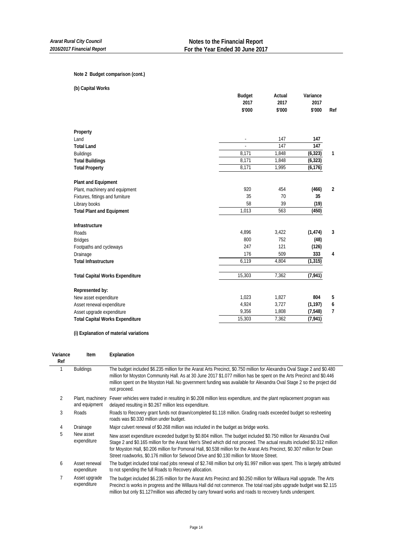## **Note 2 Budget comparison (cont.)**

| (b) Capital Works                      |               |                  |          |                |
|----------------------------------------|---------------|------------------|----------|----------------|
|                                        | <b>Budget</b> | Actual           | Variance |                |
|                                        | 2017          | 2017             | 2017     |                |
|                                        | \$'000        | \$'000           | \$'000   | Ref            |
| Property                               |               |                  |          |                |
| Land                                   |               | 147              | 147      |                |
| <b>Total Land</b>                      |               | $\overline{147}$ | 147      |                |
| <b>Buildings</b>                       | 8,171         | 1,848            | (6, 323) | 1              |
| <b>Total Buildings</b>                 | 8,171         | 1,848            | (6, 323) |                |
| <b>Total Property</b>                  | 8,171         | 1,995            | (6, 176) |                |
| <b>Plant and Equipment</b>             |               |                  |          |                |
| Plant, machinery and equipment         | 920           | 454              | (466)    | $\overline{2}$ |
| Fixtures, fittings and furniture       | 35            | 70               | 35       |                |
| Library books                          | 58            | 39               | (19)     |                |
| <b>Total Plant and Equipment</b>       | 1,013         | 563              | (450)    |                |
| Infrastructure                         |               |                  |          |                |
| Roads                                  | 4,896         | 3,422            | (1, 474) | 3              |
| <b>Bridges</b>                         | 800           | 752              | (48)     |                |
| Footpaths and cycleways                | 247           | 121              | (126)    |                |
| Drainage                               | 176           | 509              | 333      | 4              |
| <b>Total Infrastructure</b>            | 6,119         | 4,804            | (1, 315) |                |
| <b>Total Capital Works Expenditure</b> | 15,303        | 7,362            | (7, 941) |                |
| Represented by:                        |               |                  |          |                |
| New asset expenditure                  | 1,023         | 1,827            | 804      | 5              |
| Asset renewal expenditure              | 4,924         | 3,727            | (1, 197) | 6              |
| Asset upgrade expenditure              | 9,356         | 1,808            | (7, 548) | $\overline{7}$ |
| <b>Total Capital Works Expenditure</b> | 15,303        | 7,362            | (7, 941) |                |
|                                        |               |                  |          |                |

**(i) Explanation of material variations**

| Variance<br>Ref | Item                              | Explanation                                                                                                                                                                                                                                                                                                                                                                                                                                                             |
|-----------------|-----------------------------------|-------------------------------------------------------------------------------------------------------------------------------------------------------------------------------------------------------------------------------------------------------------------------------------------------------------------------------------------------------------------------------------------------------------------------------------------------------------------------|
|                 | <b>Buildings</b>                  | The budget included \$6.235 million for the Ararat Arts Precinct, \$0.750 million for Alexandra Oval Stage 2 and \$0.480<br>million for Moyston Community Hall. As at 30 June 2017 \$1.077 million has be spent on the Arts Precinct and \$0.446<br>million spent on the Moyston Hall. No government funding was available for Alexandra Oval Stage 2 so the project did<br>not proceed.                                                                                |
| 2               | Plant, machinery<br>and equipment | Fewer vehicles were traded in resulting in \$0.208 million less expenditure, and the plant replacement program was<br>delayed resulting in \$0.267 million less expenditure.                                                                                                                                                                                                                                                                                            |
| 3               | <b>Roads</b>                      | Roads to Recovery grant funds not drawn/completed \$1.118 million. Grading roads exceeded budget so resheeting<br>roads was \$0.330 million under budget.                                                                                                                                                                                                                                                                                                               |
| 4               | Drainage                          | Major culvert renewal of \$0.268 million was included in the budget as bridge works.                                                                                                                                                                                                                                                                                                                                                                                    |
| 5               | New asset<br>expenditure          | New asset expenditure exceeded budget by \$0.804 million. The budget included \$0.750 million for Alexandra Oval<br>Stage 2 and \$0.165 million for the Ararat Men's Shed which did not proceed. The actual results included \$0.312 million<br>for Moyston Hall, \$0.206 million for Pomonal Hall, \$0.538 million for the Ararat Arts Precinct, \$0.307 million for Dean<br>Street roadworks, \$0.176 million for Selwood Drive and \$0.130 million for Moore Street. |
| 6               | Asset renewal<br>expenditure      | The budget included total road jobs renewal of \$2.748 million but only \$1.997 million was spent. This is largely attributed<br>to not spending the full Roads to Recovery allocation.                                                                                                                                                                                                                                                                                 |
|                 | Asset upgrade<br>expenditure      | The budget included \$6.235 million for the Ararat Arts Precinct and \$0.250 million for Willaura Hall upgrade. The Arts<br>Precinct is works in progress and the Willaura Hall did not commence. The total road jobs upgrade budget was \$2.115<br>million but only \$1.127 million was affected by carry forward works and roads to recovery funds underspent.                                                                                                        |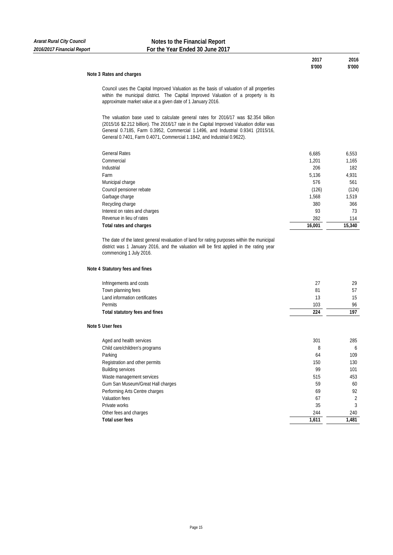## **Note 3 Rates and charges**

Council uses the Capital Improved Valuation as the basis of valuation of all properties within the municipal district. The Capital Improved Valuation of a property is its approximate market value at a given date of 1 January 2016.

The valuation base used to calculate general rates for 2016/17 was \$2.354 billion (2015/16 \$2.212 billion). The 2016/17 rate in the Capital Improved Valuation dollar was General 0.7185, Farm 0.3952, Commercial 1.1496, and Industrial 0.9341 (2015/16, General 0.7401, Farm 0.4071, Commercial 1.1842, and Industrial 0.9622).

| <b>General Rates</b>          | 6,685  | 6,553  |
|-------------------------------|--------|--------|
| Commercial                    | 1,201  | 1,165  |
| Industrial                    | 206    | 182    |
| Farm                          | 5,136  | 4,931  |
| Municipal charge              | 576    | 561    |
| Council pensioner rebate      | (126)  | (124)  |
| Garbage charge                | 1,568  | 1,519  |
| Recycling charge              | 380    | 366    |
| Interest on rates and charges | 93     | 73     |
| Revenue in lieu of rates      | 282    | 114    |
| Total rates and charges       | 16,001 | 15,340 |

The date of the latest general revaluation of land for rating purposes within the municipal district was 1 January 2016, and the valuation will be first applied in the rating year commencing 1 July 2016.

## **Note 4 Statutory fees and fines**

| Infringements and costs           | 27    | 29    |
|-----------------------------------|-------|-------|
| Town planning fees                | 81    | 57    |
| Land information certificates     | 13    | 15    |
| <b>Permits</b>                    | 103   | 96    |
| Total statutory fees and fines    | 224   | 197   |
| Note 5 User fees                  |       |       |
| Aged and health services          | 301   | 285   |
| Child care/children's programs    | 8     | 6     |
| Parking                           | 64    | 109   |
| Registration and other permits    | 150   | 130   |
| <b>Building services</b>          | 99    | 101   |
| Waste management services         | 515   | 453   |
| Gum San Museum/Great Hall charges | 59    | 60    |
| Performing Arts Centre charges    | 69    | 92    |
| Valuation fees                    | 67    | 2     |
| Private works                     | 35    | 3     |
| Other fees and charges            | 244   | 240   |
| <b>Total user fees</b>            | 1,611 | 1,481 |

## **2017 2016 \$'000 \$'000**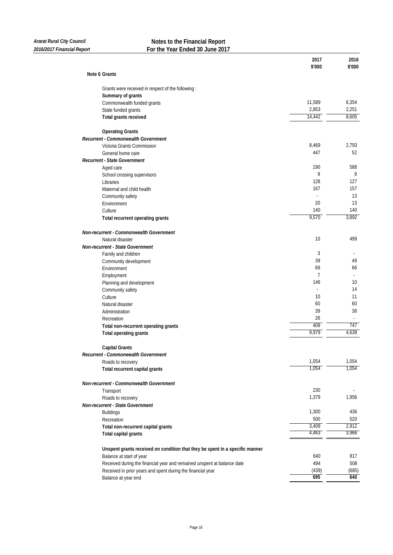| Note 6 Grants<br>Grants were received in respect of the following :<br>Summary of grants<br>11,589<br>Commonwealth funded grants<br>2,853<br>State funded grants<br>14,442<br>Total grants received<br><b>Operating Grants</b><br>Recurrent - Commonwealth Government<br>8,469<br>Victoria Grants Commission<br>447<br>General home care<br>Recurrent - State Government<br>190<br>Aged care<br>9<br>School crossing supervisors<br>128<br>Libraries<br>167<br>Maternal and child health<br>Community safety<br>20<br>Environment<br>140<br>Culture<br>9,570<br>Total recurrent operating grants<br>Non-recurrent - Commonwealth Government<br>10<br>Natural disaster<br>Non-recurrent - State Government<br>3<br>Family and children<br>39<br>Community development<br>69<br>Environment<br>7<br>Employment<br>146<br>Planning and development<br>Community safety<br>10<br>Culture<br>Natural disaster<br>60<br>39<br>Administration<br>26<br>Recreation<br>409<br>Total non-recurrent operating grants<br>9,979<br>Total operating grants<br><b>Capital Grants</b><br>Recurrent - Commonwealth Government<br>1,054<br>Roads to recovery<br>1,054<br>Total recurrent capital grants<br>Non-recurrent - Commonwealth Government | 6,354<br>2,251<br>8,605<br>2,793<br>52<br>588 |
|----------------------------------------------------------------------------------------------------------------------------------------------------------------------------------------------------------------------------------------------------------------------------------------------------------------------------------------------------------------------------------------------------------------------------------------------------------------------------------------------------------------------------------------------------------------------------------------------------------------------------------------------------------------------------------------------------------------------------------------------------------------------------------------------------------------------------------------------------------------------------------------------------------------------------------------------------------------------------------------------------------------------------------------------------------------------------------------------------------------------------------------------------------------------------------------------------------------------------------|-----------------------------------------------|
|                                                                                                                                                                                                                                                                                                                                                                                                                                                                                                                                                                                                                                                                                                                                                                                                                                                                                                                                                                                                                                                                                                                                                                                                                                  |                                               |
|                                                                                                                                                                                                                                                                                                                                                                                                                                                                                                                                                                                                                                                                                                                                                                                                                                                                                                                                                                                                                                                                                                                                                                                                                                  |                                               |
|                                                                                                                                                                                                                                                                                                                                                                                                                                                                                                                                                                                                                                                                                                                                                                                                                                                                                                                                                                                                                                                                                                                                                                                                                                  |                                               |
|                                                                                                                                                                                                                                                                                                                                                                                                                                                                                                                                                                                                                                                                                                                                                                                                                                                                                                                                                                                                                                                                                                                                                                                                                                  |                                               |
|                                                                                                                                                                                                                                                                                                                                                                                                                                                                                                                                                                                                                                                                                                                                                                                                                                                                                                                                                                                                                                                                                                                                                                                                                                  |                                               |
|                                                                                                                                                                                                                                                                                                                                                                                                                                                                                                                                                                                                                                                                                                                                                                                                                                                                                                                                                                                                                                                                                                                                                                                                                                  |                                               |
|                                                                                                                                                                                                                                                                                                                                                                                                                                                                                                                                                                                                                                                                                                                                                                                                                                                                                                                                                                                                                                                                                                                                                                                                                                  |                                               |
|                                                                                                                                                                                                                                                                                                                                                                                                                                                                                                                                                                                                                                                                                                                                                                                                                                                                                                                                                                                                                                                                                                                                                                                                                                  |                                               |
|                                                                                                                                                                                                                                                                                                                                                                                                                                                                                                                                                                                                                                                                                                                                                                                                                                                                                                                                                                                                                                                                                                                                                                                                                                  |                                               |
|                                                                                                                                                                                                                                                                                                                                                                                                                                                                                                                                                                                                                                                                                                                                                                                                                                                                                                                                                                                                                                                                                                                                                                                                                                  |                                               |
|                                                                                                                                                                                                                                                                                                                                                                                                                                                                                                                                                                                                                                                                                                                                                                                                                                                                                                                                                                                                                                                                                                                                                                                                                                  |                                               |
|                                                                                                                                                                                                                                                                                                                                                                                                                                                                                                                                                                                                                                                                                                                                                                                                                                                                                                                                                                                                                                                                                                                                                                                                                                  |                                               |
|                                                                                                                                                                                                                                                                                                                                                                                                                                                                                                                                                                                                                                                                                                                                                                                                                                                                                                                                                                                                                                                                                                                                                                                                                                  | 9                                             |
|                                                                                                                                                                                                                                                                                                                                                                                                                                                                                                                                                                                                                                                                                                                                                                                                                                                                                                                                                                                                                                                                                                                                                                                                                                  | 127                                           |
|                                                                                                                                                                                                                                                                                                                                                                                                                                                                                                                                                                                                                                                                                                                                                                                                                                                                                                                                                                                                                                                                                                                                                                                                                                  | 157                                           |
|                                                                                                                                                                                                                                                                                                                                                                                                                                                                                                                                                                                                                                                                                                                                                                                                                                                                                                                                                                                                                                                                                                                                                                                                                                  | 13                                            |
|                                                                                                                                                                                                                                                                                                                                                                                                                                                                                                                                                                                                                                                                                                                                                                                                                                                                                                                                                                                                                                                                                                                                                                                                                                  | 13                                            |
|                                                                                                                                                                                                                                                                                                                                                                                                                                                                                                                                                                                                                                                                                                                                                                                                                                                                                                                                                                                                                                                                                                                                                                                                                                  | 140                                           |
|                                                                                                                                                                                                                                                                                                                                                                                                                                                                                                                                                                                                                                                                                                                                                                                                                                                                                                                                                                                                                                                                                                                                                                                                                                  | 3,892                                         |
|                                                                                                                                                                                                                                                                                                                                                                                                                                                                                                                                                                                                                                                                                                                                                                                                                                                                                                                                                                                                                                                                                                                                                                                                                                  |                                               |
|                                                                                                                                                                                                                                                                                                                                                                                                                                                                                                                                                                                                                                                                                                                                                                                                                                                                                                                                                                                                                                                                                                                                                                                                                                  | 499                                           |
|                                                                                                                                                                                                                                                                                                                                                                                                                                                                                                                                                                                                                                                                                                                                                                                                                                                                                                                                                                                                                                                                                                                                                                                                                                  |                                               |
|                                                                                                                                                                                                                                                                                                                                                                                                                                                                                                                                                                                                                                                                                                                                                                                                                                                                                                                                                                                                                                                                                                                                                                                                                                  |                                               |
|                                                                                                                                                                                                                                                                                                                                                                                                                                                                                                                                                                                                                                                                                                                                                                                                                                                                                                                                                                                                                                                                                                                                                                                                                                  | 49                                            |
|                                                                                                                                                                                                                                                                                                                                                                                                                                                                                                                                                                                                                                                                                                                                                                                                                                                                                                                                                                                                                                                                                                                                                                                                                                  | 66                                            |
|                                                                                                                                                                                                                                                                                                                                                                                                                                                                                                                                                                                                                                                                                                                                                                                                                                                                                                                                                                                                                                                                                                                                                                                                                                  |                                               |
|                                                                                                                                                                                                                                                                                                                                                                                                                                                                                                                                                                                                                                                                                                                                                                                                                                                                                                                                                                                                                                                                                                                                                                                                                                  | 10                                            |
|                                                                                                                                                                                                                                                                                                                                                                                                                                                                                                                                                                                                                                                                                                                                                                                                                                                                                                                                                                                                                                                                                                                                                                                                                                  | 14                                            |
|                                                                                                                                                                                                                                                                                                                                                                                                                                                                                                                                                                                                                                                                                                                                                                                                                                                                                                                                                                                                                                                                                                                                                                                                                                  | 11                                            |
|                                                                                                                                                                                                                                                                                                                                                                                                                                                                                                                                                                                                                                                                                                                                                                                                                                                                                                                                                                                                                                                                                                                                                                                                                                  | 60                                            |
|                                                                                                                                                                                                                                                                                                                                                                                                                                                                                                                                                                                                                                                                                                                                                                                                                                                                                                                                                                                                                                                                                                                                                                                                                                  | 38                                            |
|                                                                                                                                                                                                                                                                                                                                                                                                                                                                                                                                                                                                                                                                                                                                                                                                                                                                                                                                                                                                                                                                                                                                                                                                                                  |                                               |
|                                                                                                                                                                                                                                                                                                                                                                                                                                                                                                                                                                                                                                                                                                                                                                                                                                                                                                                                                                                                                                                                                                                                                                                                                                  | 747                                           |
|                                                                                                                                                                                                                                                                                                                                                                                                                                                                                                                                                                                                                                                                                                                                                                                                                                                                                                                                                                                                                                                                                                                                                                                                                                  | 4,639                                         |
|                                                                                                                                                                                                                                                                                                                                                                                                                                                                                                                                                                                                                                                                                                                                                                                                                                                                                                                                                                                                                                                                                                                                                                                                                                  |                                               |
|                                                                                                                                                                                                                                                                                                                                                                                                                                                                                                                                                                                                                                                                                                                                                                                                                                                                                                                                                                                                                                                                                                                                                                                                                                  |                                               |
|                                                                                                                                                                                                                                                                                                                                                                                                                                                                                                                                                                                                                                                                                                                                                                                                                                                                                                                                                                                                                                                                                                                                                                                                                                  | 1,054                                         |
|                                                                                                                                                                                                                                                                                                                                                                                                                                                                                                                                                                                                                                                                                                                                                                                                                                                                                                                                                                                                                                                                                                                                                                                                                                  | 1,054                                         |
|                                                                                                                                                                                                                                                                                                                                                                                                                                                                                                                                                                                                                                                                                                                                                                                                                                                                                                                                                                                                                                                                                                                                                                                                                                  |                                               |
| 230<br>Transport                                                                                                                                                                                                                                                                                                                                                                                                                                                                                                                                                                                                                                                                                                                                                                                                                                                                                                                                                                                                                                                                                                                                                                                                                 |                                               |
| 1,379<br>Roads to recovery                                                                                                                                                                                                                                                                                                                                                                                                                                                                                                                                                                                                                                                                                                                                                                                                                                                                                                                                                                                                                                                                                                                                                                                                       | 1,956                                         |
| Non-recurrent - State Government                                                                                                                                                                                                                                                                                                                                                                                                                                                                                                                                                                                                                                                                                                                                                                                                                                                                                                                                                                                                                                                                                                                                                                                                 |                                               |
| 1,300<br><b>Buildings</b>                                                                                                                                                                                                                                                                                                                                                                                                                                                                                                                                                                                                                                                                                                                                                                                                                                                                                                                                                                                                                                                                                                                                                                                                        | 436                                           |
| 500<br>Recreation                                                                                                                                                                                                                                                                                                                                                                                                                                                                                                                                                                                                                                                                                                                                                                                                                                                                                                                                                                                                                                                                                                                                                                                                                | 520                                           |
| 3,409<br>Total non-recurrent capital grants                                                                                                                                                                                                                                                                                                                                                                                                                                                                                                                                                                                                                                                                                                                                                                                                                                                                                                                                                                                                                                                                                                                                                                                      | 2,912                                         |
| 4,463<br>Total capital grants                                                                                                                                                                                                                                                                                                                                                                                                                                                                                                                                                                                                                                                                                                                                                                                                                                                                                                                                                                                                                                                                                                                                                                                                    | 3,966                                         |
| Unspent grants received on condition that they be spent in a specific manner                                                                                                                                                                                                                                                                                                                                                                                                                                                                                                                                                                                                                                                                                                                                                                                                                                                                                                                                                                                                                                                                                                                                                     |                                               |
| Balance at start of year<br>640                                                                                                                                                                                                                                                                                                                                                                                                                                                                                                                                                                                                                                                                                                                                                                                                                                                                                                                                                                                                                                                                                                                                                                                                  | 817                                           |
| Received during the financial year and remained unspent at balance date<br>494                                                                                                                                                                                                                                                                                                                                                                                                                                                                                                                                                                                                                                                                                                                                                                                                                                                                                                                                                                                                                                                                                                                                                   | 508                                           |
| Received in prior years and spent during the financial year<br>(439)                                                                                                                                                                                                                                                                                                                                                                                                                                                                                                                                                                                                                                                                                                                                                                                                                                                                                                                                                                                                                                                                                                                                                             |                                               |
| 695<br>Balance at year end                                                                                                                                                                                                                                                                                                                                                                                                                                                                                                                                                                                                                                                                                                                                                                                                                                                                                                                                                                                                                                                                                                                                                                                                       | (685)<br>640                                  |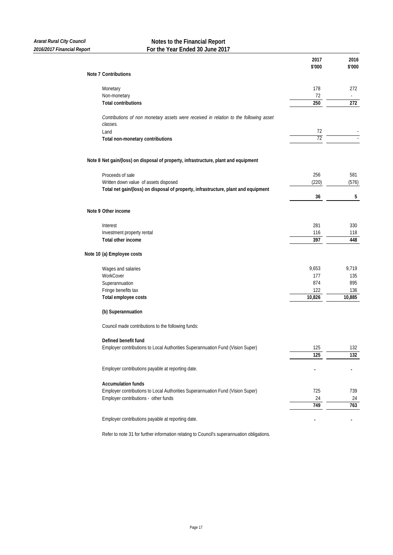|                                                                                                   | 2017<br>\$'000 | 2016<br>\$'000 |
|---------------------------------------------------------------------------------------------------|----------------|----------------|
| <b>Note 7 Contributions</b>                                                                       |                |                |
| Monetary                                                                                          | 178            | 272            |
| Non-monetary                                                                                      | 72             |                |
| <b>Total contributions</b>                                                                        | 250            | 272            |
| Contributions of non monetary assets were received in relation to the following asset<br>classes. |                |                |
| Land                                                                                              | 72             |                |
| Total non-monetary contributions                                                                  | 72             |                |
| Note 8 Net gain/(loss) on disposal of property, infrastructure, plant and equipment               |                |                |
| Proceeds of sale                                                                                  | 256            | 581            |
| Written down value of assets disposed                                                             | (220)          | (576)          |
| Total net gain/(loss) on disposal of property, infrastructure, plant and equipment                |                |                |
|                                                                                                   | 36             | 5              |
| Note 9 Other income                                                                               |                |                |
| Interest                                                                                          | 281            | 330            |
| Investment property rental                                                                        | 116            | 118            |
| Total other income                                                                                | 397            | 448            |
| Note 10 (a) Employee costs                                                                        |                |                |
| Wages and salaries                                                                                | 9,653          | 9,719          |
| WorkCover                                                                                         | 177            | 135            |
| Superannuation                                                                                    | 874            | 895            |
| Fringe benefits tax                                                                               | 122            | 136            |
| Total employee costs                                                                              | 10,826         | 10,885         |
| (b) Superannuation                                                                                |                |                |
| Council made contributions to the following funds:                                                |                |                |
| Defined benefit fund                                                                              |                |                |
| Employer contributions to Local Authorities Superannuation Fund (Vision Super)                    | 125            | 132            |
|                                                                                                   | 125            | 132            |
| Employer contributions payable at reporting date.                                                 |                |                |
| <b>Accumulation funds</b>                                                                         |                |                |
| Employer contributions to Local Authorities Superannuation Fund (Vision Super)                    | 725            | 739            |
| Employer contributions - other funds                                                              | 24             | 24             |
|                                                                                                   | 749            | 763            |
| Employer contributions payable at reporting date.                                                 |                |                |
| Refer to note 31 for further information relating to Council's superannuation obligations.        |                |                |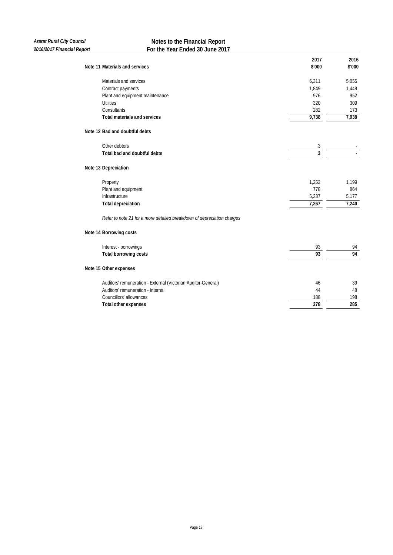|                                                                        | 2017   | 2016   |
|------------------------------------------------------------------------|--------|--------|
| Note 11 Materials and services                                         | \$'000 | \$'000 |
| Materials and services                                                 | 6,311  | 5,055  |
| Contract payments                                                      | 1,849  | 1,449  |
| Plant and equipment maintenance                                        | 976    | 952    |
| <b>Utilities</b>                                                       | 320    | 309    |
| Consultants                                                            | 282    | 173    |
| <b>Total materials and services</b>                                    | 9,738  | 7,938  |
| Note 12 Bad and doubtful debts                                         |        |        |
| Other debtors                                                          | 3      |        |
| Total bad and doubtful debts                                           | 3      |        |
| Note 13 Depreciation                                                   |        |        |
| Property                                                               | 1,252  | 1,199  |
| Plant and equipment                                                    | 778    | 864    |
| Infrastructure                                                         | 5,237  | 5,177  |
| <b>Total depreciation</b>                                              | 7,267  | 7,240  |
| Refer to note 21 for a more detailed breakdown of depreciation charges |        |        |
| Note 14 Borrowing costs                                                |        |        |
| Interest - borrowings                                                  | 93     | 94     |
| Total borrowing costs                                                  | 93     | 94     |
| Note 15 Other expenses                                                 |        |        |
| Auditors' remuneration - External (Victorian Auditor-General)          | 46     | 39     |
| Auditors' remuneration - Internal                                      | 44     | 48     |
| Councillors' allowances                                                | 188    | 198    |
| <b>Total other expenses</b>                                            | 278    | 285    |
|                                                                        |        |        |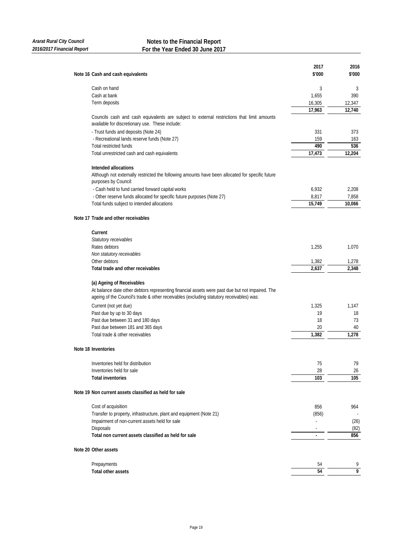| Note 16 Cash and cash equivalents                                                                                                             | 2017<br>\$'000 | 2016<br>\$'000      |
|-----------------------------------------------------------------------------------------------------------------------------------------------|----------------|---------------------|
|                                                                                                                                               |                |                     |
| Cash on hand                                                                                                                                  | 3              | 3                   |
| Cash at bank                                                                                                                                  | 1,655          | 390                 |
| Term deposits                                                                                                                                 | 16,305         | 12.347              |
|                                                                                                                                               | 17,963         | 12,740              |
| Councils cash and cash equivalents are subject to external restrictions that limit amounts<br>available for discretionary use. These include: |                |                     |
| - Trust funds and deposits (Note 24)                                                                                                          | 331            | 373                 |
| - Recreational lands reserve funds (Note 27)                                                                                                  | 159            | 163                 |
| <b>Total restricted funds</b>                                                                                                                 | 490            | 536                 |
| Total unrestricted cash and cash equivalents                                                                                                  | 17,473         | 12,204              |
| Intended allocations                                                                                                                          |                |                     |
| Although not externally restricted the following amounts have been allocated for specific future<br>purposes by Council:                      |                |                     |
| - Cash held to fund carried forward capital works                                                                                             | 6,932          | 2,208               |
| - Other reserve funds allocated for specific future purposes (Note 27)                                                                        | 8,817          | 7,858               |
| Total funds subject to intended allocations                                                                                                   | 15,749         | 10,066              |
| Note 17 Trade and other receivables                                                                                                           |                |                     |
| Current                                                                                                                                       |                |                     |
| Statutory receivables                                                                                                                         |                |                     |
| Rates debtors                                                                                                                                 | 1,255          | 1,070               |
| Non statutory receivables                                                                                                                     |                |                     |
| Other debtors                                                                                                                                 | 1,382          | 1,278               |
| Total trade and other receivables                                                                                                             | 2,637          | 2,348               |
| (a) Ageing of Receivables                                                                                                                     |                |                     |
| At balance date other debtors representing financial assets were past due but not impaired. The                                               |                |                     |
| ageing of the Council's trade & other receivables (excluding statutory receivables) was:                                                      |                |                     |
| Current (not yet due)                                                                                                                         | 1,325          | 1,147               |
| Past due by up to 30 days                                                                                                                     | 19             | 18                  |
| Past due between 31 and 180 days                                                                                                              | 18             | 73                  |
| Past due between 181 and 365 days                                                                                                             | 20             | 40                  |
| Total trade & other receivables                                                                                                               | 1,382          | 1,278               |
| Note 18 Inventories                                                                                                                           |                |                     |
| Inventories held for distribution                                                                                                             | 75             | 79                  |
| Inventories held for sale                                                                                                                     | 28             | 26                  |
| <b>Total inventories</b>                                                                                                                      | 103            | 105                 |
| Note 19 Non current assets classified as held for sale                                                                                        |                |                     |
| Cost of acquisition                                                                                                                           | 856            | 964                 |
| Transfer to property, infrastructure, plant and equipment (Note 21)                                                                           | (856)          |                     |
| Impairment of non-current assets held for sale                                                                                                |                | (26)                |
| Disposals                                                                                                                                     |                | (82)                |
| Total non current assets classified as held for sale                                                                                          | $\blacksquare$ | 856                 |
| Note 20 Other assets                                                                                                                          |                |                     |
|                                                                                                                                               |                |                     |
| Prepayments                                                                                                                                   | 54<br>54       | 9<br>$\overline{9}$ |
| Total other assets                                                                                                                            |                |                     |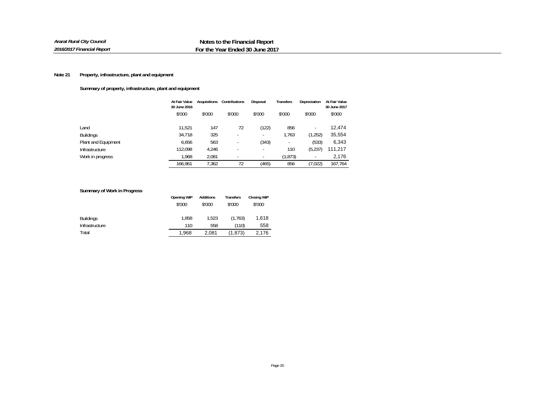# **Summary of property, infrastructure, plant and equipment**

|                     | At Fair Value<br>30 June 2016 | <b>Acquisitions</b> | Contributions | Disposal                 | <b>Transfers</b> | Depreciation             | At Fair Value<br>30 June 2017 |
|---------------------|-------------------------------|---------------------|---------------|--------------------------|------------------|--------------------------|-------------------------------|
|                     | \$'000                        | \$'000              | \$'000        | \$'000                   | \$'000           | \$'000                   | \$'000                        |
| Land                | 11.521                        | 147                 | 72            | (122)                    | 856              | $\overline{\phantom{a}}$ | 12.474                        |
| <b>Buildings</b>    | 34,718                        | 325                 |               | $\overline{\phantom{a}}$ | 1.763            | (1,252)                  | 35,554                        |
| Plant and Equipment | 6,656                         | 563                 |               | (343)                    |                  | (533)                    | 6,343                         |
| Infrastructure      | 112.098                       | 4,246               |               | $\overline{\phantom{a}}$ | 110              | (5,237)                  | 111,217                       |
| Work in progress    | 1.968                         | 2.081               |               | ٠                        | (1, 873)         | $\overline{\phantom{a}}$ | 2,176                         |
|                     | 166.961                       | 7.362               | 72            | (465)                    | 856              | (7,022)                  | 167,764                       |

# **Summary of Work in Progress**

|                  | <b>Opening WIP</b> | Additions | Transfers | <b>Closing WIP</b> |
|------------------|--------------------|-----------|-----------|--------------------|
|                  | \$'000             | \$'000    | \$'000    | \$'000             |
| <b>Buildings</b> | 1.858              | 1.523     | (1.763)   | 1.618              |
| Infrastructure   | 110                | 558       | (110)     | 558                |
| Total            | 1,968              | 2.081     | (1, 873)  | 2,176              |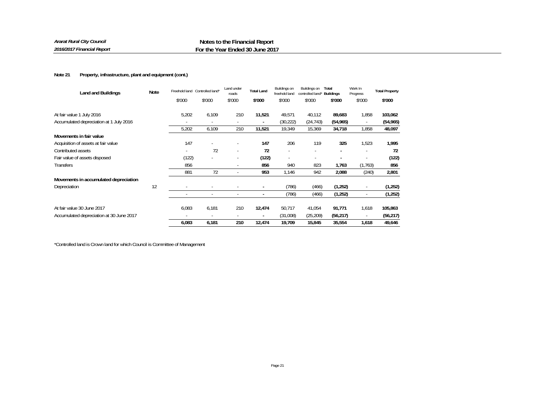| Land and Buildings                       | <b>Note</b> |        | Freehold land Controlled land* | Land under<br>roads | <b>Total Land</b>        | Buildings on<br>freehold land | Buildings on<br>controlled land* | Total<br><b>Buildings</b> | Work In<br>Progress      | <b>Total Property</b> |
|------------------------------------------|-------------|--------|--------------------------------|---------------------|--------------------------|-------------------------------|----------------------------------|---------------------------|--------------------------|-----------------------|
|                                          |             | \$'000 | \$'000                         | \$'000              | \$'000                   | \$'000                        | \$'000                           | \$'000                    | \$'000                   | \$'000                |
| At fair value 1 July 2016                |             | 5,202  | 6,109                          | 210                 | 11,521                   | 49,571                        | 40,112                           | 89,683                    | 1,858                    | 103,062               |
| Accumulated depreciation at 1 July 2016  |             |        | $\sim$                         |                     | $\blacksquare$           | (30, 222)                     | (24, 743)                        | (54, 965)                 | $\sim$                   | (54, 965)             |
|                                          |             | 5,202  | 6,109                          | 210                 | 11,521                   | 19,349                        | 15,369                           | 34,718                    | 1,858                    | 48,097                |
| Movements in fair value                  |             |        |                                |                     |                          |                               |                                  |                           |                          |                       |
| Acquisition of assets at fair value      |             | 147    |                                |                     | 147                      | 206                           | 119                              | 325                       | 1,523                    | 1,995                 |
| Contributed assets                       |             |        | 72                             |                     | 72                       |                               |                                  |                           |                          | 72                    |
| Fair value of assets disposed            |             | (122)  |                                |                     | (122)                    | $\sim$                        | $\overline{\phantom{a}}$         |                           |                          | (122)                 |
| Transfers                                |             | 856    |                                |                     | 856                      | 940                           | 823                              | 1,763                     | (1, 763)                 | 856                   |
|                                          |             | 881    | 72                             |                     | 953                      | 1,146                         | 942                              | 2,088                     | (240)                    | 2,801                 |
| Movements in accumulated depreciation    |             |        |                                |                     |                          |                               |                                  |                           |                          |                       |
| Depreciation                             | 12          |        |                                |                     | $\blacksquare$           | (786)                         | (466)                            | (1,252)                   |                          | (1,252)               |
|                                          |             |        | $\overline{\phantom{a}}$       |                     |                          | (786)                         | (466)                            | (1,252)                   | $\overline{\phantom{a}}$ | (1,252)               |
| At fair value 30 June 2017               |             | 6,083  | 6,181                          | 210                 | 12,474                   | 50,717                        | 41,054                           | 91,771                    | 1,618                    | 105,863               |
| Accumulated depreciation at 30 June 2017 |             |        | $\overline{\phantom{a}}$       |                     | $\overline{\phantom{a}}$ | (31,008)                      | (25, 209)                        | (56, 217)                 | $\overline{\phantom{a}}$ | (56, 217)             |
|                                          |             | 6,083  | 6,181                          | 210                 | 12,474                   | 19,709                        | 15,845                           | 35,554                    | 1,618                    | 49,646                |

\*Controlled land is Crown land for which Council is Committee of Management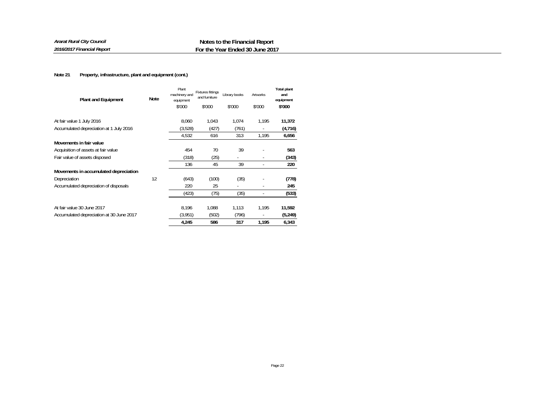| <b>Plant and Equipment</b>               | <b>Note</b> | Plant<br>machinery and<br>equipment | <b>Fixtures fittings</b><br>and furniture | Library books | Artworks | <b>Total plant</b><br>and<br>equipment |
|------------------------------------------|-------------|-------------------------------------|-------------------------------------------|---------------|----------|----------------------------------------|
|                                          |             | \$'000                              | \$'000                                    | \$'000        | \$'000   | \$'000                                 |
| At fair value 1 July 2016                |             | 8.060                               | 1.043                                     | 1,074         | 1,195    | 11,372                                 |
| Accumulated depreciation at 1 July 2016  |             | (3,528)                             | (427)                                     | (761)         |          | (4,716)                                |
|                                          |             | 4,532                               | 616                                       | 313           | 1,195    | 6,656                                  |
| Movements in fair value                  |             |                                     |                                           |               |          |                                        |
| Acquisition of assets at fair value      |             | 454                                 | 70                                        | 39            |          | 563                                    |
| Fair value of assets disposed            |             | (318)                               | (25)                                      |               |          | (343)                                  |
|                                          |             | 136                                 | 45                                        | 39            |          | 220                                    |
| Movements in accumulated depreciation    |             |                                     |                                           |               |          |                                        |
| Depreciation                             | 12          | (643)                               | (100)                                     | (35)          |          | (778)                                  |
| Accumulated depreciation of disposals    |             | 220                                 | 25                                        | ٠             |          | 245                                    |
|                                          |             | (423)                               | (75)                                      | (35)          |          | (533)                                  |
| At fair value 30 June 2017               |             | 8,196                               | 1.088                                     | 1,113         | 1,195    | 11,592                                 |
| Accumulated depreciation at 30 June 2017 |             | (3,951)                             | (502)                                     | (796)         |          | (5, 249)                               |
|                                          |             | 4,245                               | 586                                       | 317           | 1,195    | 6,343                                  |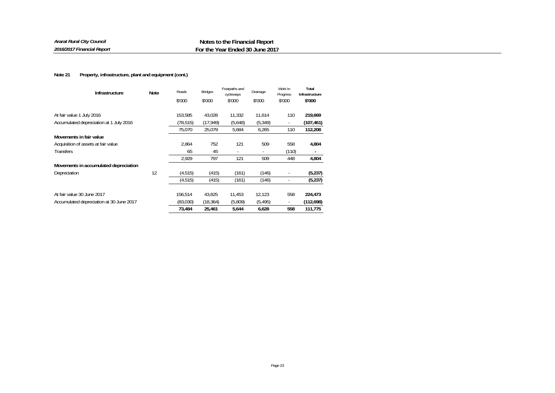| Ararat Rural City Council  | Notes to the Financial Report   |
|----------------------------|---------------------------------|
| 2016/2017 Financial Report | For the Year Ended 30 June 2017 |

| Infrastructure                           | Note | Roads     | <b>Bridges</b> | Footpaths and<br>cycleways | Drainage | Work In<br>Progress | Total<br>Infrastructure |
|------------------------------------------|------|-----------|----------------|----------------------------|----------|---------------------|-------------------------|
|                                          |      | \$'000    | \$'000         | \$'000                     | \$'000   | \$'000              | \$'000                  |
| At fair value 1 July 2016                |      | 153.585   | 43,028         | 11.332                     | 11.614   | 110                 | 219,669                 |
| Accumulated depreciation at 1 July 2016  |      | (78, 515) | (17, 949)      | (5,648)                    | (5, 349) |                     | (107, 461)              |
|                                          |      | 75,070    | 25,079         | 5,684                      | 6,265    | 110                 | 112,208                 |
| Movements in fair value                  |      |           |                |                            |          |                     |                         |
| Acquisition of assets at fair value      |      | 2,864     | 752            | 121                        | 509      | 558                 | 4,804                   |
| Transfers                                |      | 65        | 45             | $\overline{\phantom{a}}$   | ٠        | (110)               |                         |
|                                          |      | 2,929     | 797            | 121                        | 509      | 448                 | 4,804                   |
| Movements in accumulated depreciation    |      |           |                |                            |          |                     |                         |
| Depreciation                             | 12   | (4, 515)  | (415)          | (161)                      | (146)    |                     | (5,237)                 |
|                                          |      | (4, 515)  | (415)          | (161)                      | (146)    |                     | (5,237)                 |
| At fair value 30 June 2017               |      | 156,514   | 43,825         | 11,453                     | 12,123   | 558                 | 224,473                 |
| Accumulated depreciation at 30 June 2017 |      | (83,030)  | (18, 364)      | (5,809)                    | (5, 495) | ٠                   | (112,698)               |
|                                          |      | 73,484    | 25,461         | 5,644                      | 6,628    | 558                 | 111,775                 |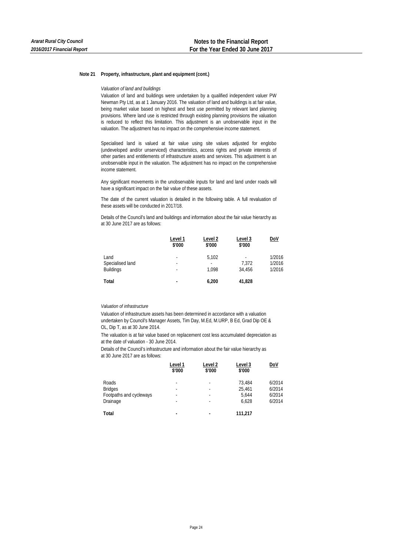*Valuation of land and buildings* 

Valuation of land and buildings were undertaken by a qualified independent valuer PW Newman Pty Ltd, as at 1 January 2016. The valuation of land and buildings is at fair value, being market value based on highest and best use permitted by relevant land planning provisions. Where land use is restricted through existing planning provisions the valuation is reduced to reflect this limitation. This adjustment is an unobservable input in the valuation. The adjustment has no impact on the comprehensive income statement.

Specialised land is valued at fair value using site values adjusted for englobo (undeveloped and/or unserviced) characteristics, access rights and private interests of other parties and entitlements of infrastructure assets and services. This adjustment is an unobservable input in the valuation. The adjustment has no impact on the comprehensive income statement.

Any significant movements in the unobservable inputs for land and land under roads will have a significant impact on the fair value of these assets.

The date of the current valuation is detailed in the following table. A full revaluation of these assets will be conducted in 2017/18.

Details of the Council's land and buildings and information about the fair value hierarchy as at 30 June 2017 are as follows:

|                          | Level 1<br>\$'000 | Level 2<br>\$'000 | Level 3<br>\$'000                 | <u>DoV</u>       |
|--------------------------|-------------------|-------------------|-----------------------------------|------------------|
| Land<br>Specialised land | ٠<br>٠            | 5,102<br>-        | $\overline{\phantom{0}}$<br>7.372 | 1/2016<br>1/2016 |
| <b>Buildings</b>         | ٠                 | 1.098             | 34,456                            | 1/2016           |
| Total                    | -                 | 6.200             | 41,828                            |                  |

## *Valuation of infrastructure*

Valuation of infrastructure assets has been determined in accordance with a valuation undertaken by Council's Manager Assets, Tim Day, M.Ed, M.URP, B Ed, Grad Dip OE & OL, Dip T, as at 30 June 2014.

The valuation is at fair value based on replacement cost less accumulated depreciation as at the date of valuation - 30 June 2014.

Details of the Council's infrastructure and information about the fair value hierarchy as at 30 June 2017 are as follows:

|                         | Level 1<br>\$'000        | Level 2<br>\$'000        | Level 3<br>\$'000 | <u>DoV</u> |
|-------------------------|--------------------------|--------------------------|-------------------|------------|
| Roads                   | -                        | $\overline{\phantom{a}}$ | 73.484            | 6/2014     |
| <b>Bridges</b>          | -                        | ٠                        | 25.461            | 6/2014     |
| Footpaths and cycleways | -                        | $\overline{\phantom{a}}$ | 5.644             | 6/2014     |
| Drainage                | -                        | $\overline{\phantom{a}}$ | 6.628             | 6/2014     |
| Total                   | $\overline{\phantom{0}}$ | $\blacksquare$           | 111,217           |            |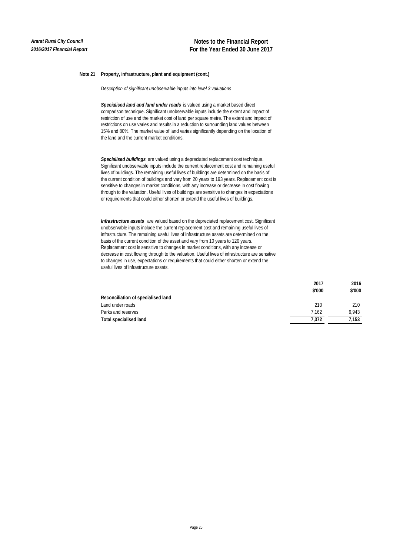*Description of significant unobservable inputs into level 3 valuations*

*Specialised land and land under roads* is valued using a market based direct comparison technique. Significant unobservable inputs include the extent and impact of restriction of use and the market cost of land per square metre. The extent and impact of restrictions on use varies and results in a reduction to surrounding land values between 15% and 80%. The market value of land varies significantly depending on the location of the land and the current market conditions.

*Specialised buildings* are valued using a depreciated replacement cost technique. Significant unobservable inputs include the current replacement cost and remaining useful lives of buildings. The remaining useful lives of buildings are determined on the basis of the current condition of buildings and vary from 20 years to 193 years. Replacement cost is sensitive to changes in market conditions, with any increase or decrease in cost flowing through to the valuation. Useful lives of buildings are sensitive to changes in expectations or requirements that could either shorten or extend the useful lives of buildings.

*Infrastructure assets* are valued based on the depreciated replacement cost. Significant unobservable inputs include the current replacement cost and remaining useful lives of infrastructure. The remaining useful lives of infrastructure assets are determined on the basis of the current condition of the asset and vary from 10 years to 120 years. Replacement cost is sensitive to changes in market conditions, with any increase or decrease in cost flowing through to the valuation. Useful lives of infrastructure are sensitive to changes in use, expectations or requirements that could either shorten or extend the useful lives of infrastructure assets.

|                                    | 2017   | 2016   |
|------------------------------------|--------|--------|
|                                    | \$'000 | \$'000 |
| Reconciliation of specialised land |        |        |
| Land under roads                   | 210    | 210    |
| Parks and reserves                 | 7.162  | 6.943  |
| <b>Total specialised land</b>      | 7.372  | 7.153  |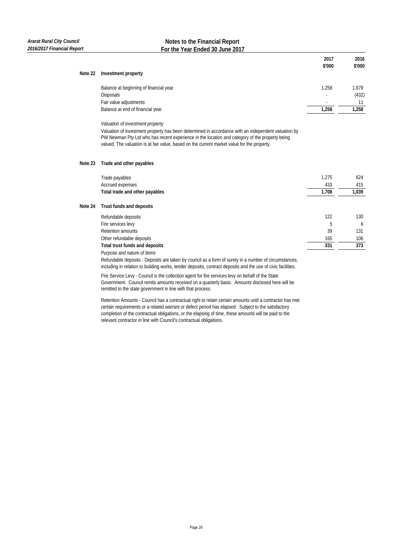# **Notes to the Financial Report For the Year Ended 30 June 2017**

|         |                                                                                                                                                                                                       | 2017   | 2016   |
|---------|-------------------------------------------------------------------------------------------------------------------------------------------------------------------------------------------------------|--------|--------|
|         |                                                                                                                                                                                                       | \$'000 | \$'000 |
| Note 22 | Investment property                                                                                                                                                                                   |        |        |
|         | Balance at beginning of financial year                                                                                                                                                                | 1,258  | 1,679  |
|         | Disposals                                                                                                                                                                                             |        | (432)  |
|         | Fair value adjustments                                                                                                                                                                                |        | 11     |
|         | Balance at end of financial year                                                                                                                                                                      | 1,258  | 1,258  |
|         | Valuation of investment property                                                                                                                                                                      |        |        |
|         | Valuation of investment property has been determined in accordance with an independent valuation by<br>PW Newman Pty Ltd who has recent experience in the location and category of the property being |        |        |
|         | valued. The valuation is at fair value, based on the current market value for the property.                                                                                                           |        |        |
| Note 23 | Trade and other payables                                                                                                                                                                              |        |        |
|         | Trade payables                                                                                                                                                                                        | 1.275  | 624    |
|         | Accrued expenses                                                                                                                                                                                      | 433    | 415    |
|         | Total trade and other payables                                                                                                                                                                        | 1,708  | 1,039  |
| Note 24 | Trust funds and deposits                                                                                                                                                                              |        |        |
|         | Refundable deposits                                                                                                                                                                                   | 122    | 130    |
|         | Fire services levy                                                                                                                                                                                    | 5      | 6      |
|         | Retention amounts                                                                                                                                                                                     | 39     | 131    |
|         | Other refundable deposits                                                                                                                                                                             | 165    | 106    |
|         | Total trust funds and deposits                                                                                                                                                                        | 331    | 373    |
|         | Purpose and nature of items                                                                                                                                                                           |        |        |

Refundable deposits - Deposits are taken by council as a form of surety in a number of circumstances, including in relation to building works, tender deposits, contract deposits and the use of civic facilities.

Fire Service Levy - Council is the collection agent for fire services levy on behalf of the State Government. Council remits amounts received on a quarterly basis. Amounts disclosed here will be remitted to the state government in line with that process.

Retention Amounts - Council has a contractual right to retain certain amounts until a contractor has met certain requirements or a related warrant or defect period has elapsed. Subject to the satisfactory completion of the contractual obligations, or the elapsing of time, these amounts will be paid to the relevant contractor in line with Council's contractual obligations.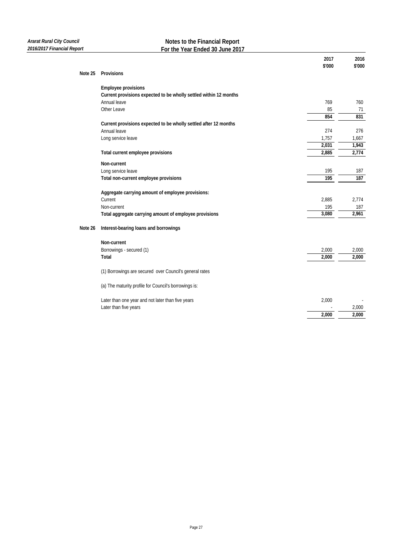# **Notes to the Financial Report For the Year Ended 30 June 2017**

|         |                                                                   | 2017             | 2016   |
|---------|-------------------------------------------------------------------|------------------|--------|
| Note 25 | Provisions                                                        | \$'000           | \$'000 |
|         |                                                                   |                  |        |
|         | <b>Employee provisions</b>                                        |                  |        |
|         | Current provisions expected to be wholly settled within 12 months |                  |        |
|         | Annual leave                                                      | 769              | 760    |
|         | Other Leave                                                       | 85               | 71     |
|         |                                                                   | 854              | 831    |
|         | Current provisions expected to be wholly settled after 12 months  |                  |        |
|         | Annual leave                                                      | 274              | 276    |
|         | Long service leave                                                | 1,757            | 1,667  |
|         |                                                                   | 2,031            | 1,943  |
|         | Total current employee provisions                                 | 2,885            | 2,774  |
|         | Non-current                                                       |                  |        |
|         | Long service leave                                                | 195              | 187    |
|         | Total non-current employee provisions                             | $\overline{195}$ | 187    |
|         | Aggregate carrying amount of employee provisions:                 |                  |        |
|         | Current                                                           | 2,885            | 2,774  |
|         | Non-current                                                       | 195              | 187    |
|         | Total aggregate carrying amount of employee provisions            | 3,080            | 2,961  |
| Note 26 | Interest-bearing loans and borrowings                             |                  |        |
|         | Non-current                                                       |                  |        |
|         | Borrowings - secured (1)                                          | 2,000            | 2,000  |
|         | Total                                                             | 2.000            | 2.000  |
|         |                                                                   |                  |        |
|         | (1) Borrowings are secured over Council's general rates           |                  |        |
|         | (a) The maturity profile for Council's borrowings is:             |                  |        |
|         | Later than one year and not later than five years                 | 2,000            |        |
|         | Later than five years                                             |                  | 2,000  |
|         |                                                                   | 2,000            | 2,000  |
|         |                                                                   |                  |        |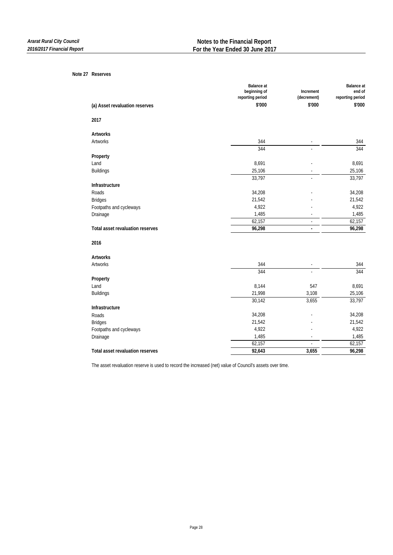#### **Note 27 Reserves**

|                                  | <b>Balance</b> at<br>beginning of |                          | <b>Balance</b> at          |
|----------------------------------|-----------------------------------|--------------------------|----------------------------|
|                                  | reporting period                  | Increment<br>(decrement) | end of<br>reporting period |
| (a) Asset revaluation reserves   | \$'000                            | \$'000                   | \$'000                     |
| 2017                             |                                   |                          |                            |
| Artworks                         |                                   |                          |                            |
| Artworks                         | 344                               | ÷,                       | 344                        |
|                                  | 344                               |                          | 344                        |
| Property                         |                                   |                          |                            |
| Land                             | 8,691                             |                          | 8,691                      |
| <b>Buildings</b>                 | 25,106                            |                          | 25,106                     |
|                                  | 33,797                            |                          | 33,797                     |
| Infrastructure                   |                                   |                          |                            |
| Roads                            | 34,208                            |                          | 34,208                     |
| <b>Bridges</b>                   | 21,542                            |                          | 21,542                     |
| Footpaths and cycleways          | 4,922                             |                          | 4,922                      |
| Drainage                         | 1,485                             |                          | 1,485                      |
|                                  | 62,157                            |                          | 62,157                     |
| Total asset revaluation reserves | 96,298                            | $\overline{\phantom{a}}$ | 96,298                     |
| 2016                             |                                   |                          |                            |
| <b>Artworks</b>                  |                                   |                          |                            |
| Artworks                         | 344                               |                          | 344                        |
|                                  | 344                               | ÷,                       | 344                        |
| Property                         |                                   |                          |                            |
| Land                             | 8,144                             | 547                      | 8,691                      |
| <b>Buildings</b>                 | 21,998                            | 3,108                    | 25,106                     |
|                                  | 30,142                            | 3,655                    | 33,797                     |
| Infrastructure                   |                                   |                          |                            |
| Roads                            | 34,208                            |                          | 34,208                     |
| <b>Bridges</b>                   | 21,542                            |                          | 21,542                     |
| Footpaths and cycleways          | 4,922                             |                          | 4,922                      |
| Drainage                         | 1,485                             |                          | 1,485                      |
|                                  | 62,157                            |                          | 62,157                     |
| Total asset revaluation reserves | 92,643                            | 3,655                    | 96,298                     |
|                                  |                                   |                          |                            |

The asset revaluation reserve is used to record the increased (net) value of Council's assets over time.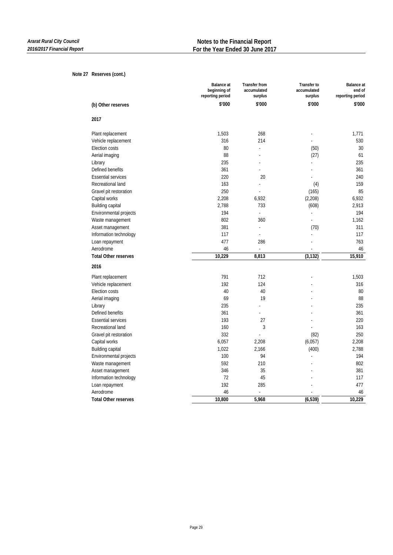## **Note 27 Reserves (cont.)**

|                             | <b>Balance</b> at<br>beginning of<br>reporting period | <b>Transfer from</b><br>accumulated<br>surplus | <b>Transfer to</b><br>accumulated<br>surplus | <b>Balance</b> at<br>end of<br>reporting period |
|-----------------------------|-------------------------------------------------------|------------------------------------------------|----------------------------------------------|-------------------------------------------------|
| (b) Other reserves          | \$'000                                                | \$'000                                         | \$'000                                       | \$'000                                          |
| 2017                        |                                                       |                                                |                                              |                                                 |
| Plant replacement           | 1,503                                                 | 268                                            |                                              | 1,771                                           |
| Vehicle replacement         | 316                                                   | 214                                            | $\overline{a}$                               | 530                                             |
| Election costs              | 80                                                    |                                                | (50)                                         | 30                                              |
| Aerial imaging              | 88                                                    |                                                | (27)                                         | 61                                              |
| Library                     | 235                                                   |                                                |                                              | 235                                             |
| Defined benefits            | 361                                                   |                                                |                                              | 361                                             |
| <b>Essential services</b>   | 220                                                   | 20                                             |                                              | 240                                             |
| Recreational land           | 163                                                   | $\overline{a}$                                 | (4)                                          | 159                                             |
| Gravel pit restoration      | 250                                                   |                                                | (165)                                        | 85                                              |
| Capital works               | 2,208                                                 | 6,932                                          | (2,208)                                      | 6,932                                           |
| Building capital            | 2,788                                                 | 733                                            | (608)                                        | 2,913                                           |
| Environmental projects      | 194                                                   | $\overline{a}$                                 | L.                                           | 194                                             |
| Waste management            | 802                                                   | 360                                            | L,                                           | 1,162                                           |
| Asset management            | 381                                                   | L.                                             | (70)                                         | 311                                             |
| Information technology      | 117                                                   | ÷,                                             |                                              | 117                                             |
| Loan repayment              | 477                                                   | 286                                            |                                              | 763                                             |
| Aerodrome                   | 46                                                    | $\blacksquare$                                 | ÷,                                           | 46                                              |
| <b>Total Other reserves</b> | 10,229                                                | 8,813                                          | (3, 132)                                     | 15,910                                          |
| 2016                        |                                                       |                                                |                                              |                                                 |
| Plant replacement           | 791                                                   | 712                                            |                                              | 1,503                                           |
| Vehicle replacement         | 192                                                   | 124                                            |                                              | 316                                             |
| Election costs              | 40                                                    | 40                                             |                                              | 80                                              |
| Aerial imaging              | 69                                                    | 19                                             |                                              | 88                                              |
| Library                     | 235                                                   |                                                |                                              | 235                                             |
| Defined benefits            | 361                                                   | $\overline{a}$                                 |                                              | 361                                             |
| <b>Essential services</b>   | 193                                                   | 27                                             |                                              | 220                                             |
| Recreational land           | 160                                                   | 3                                              |                                              | 163                                             |
| Gravel pit restoration      | 332                                                   |                                                | (82)                                         | 250                                             |
| Capital works               | 6,057                                                 | 2,208                                          | (6,057)                                      | 2,208                                           |
| Building capital            | 1,022                                                 | 2,166                                          | (400)                                        | 2,788                                           |
| Environmental projects      | 100                                                   | 94                                             | $\overline{a}$                               | 194                                             |
| Waste management            | 592                                                   | 210                                            |                                              | 802                                             |
| Asset management            | 346                                                   | 35                                             |                                              | 381                                             |
| Information technology      | 72                                                    | 45                                             |                                              | 117                                             |
| Loan repayment              | 192                                                   | 285                                            |                                              | 477                                             |
| Aerodrome                   | 46                                                    | ä,                                             |                                              | 46                                              |
| <b>Total Other reserves</b> | 10,800                                                | 5,968                                          | (6, 539)                                     | 10,229                                          |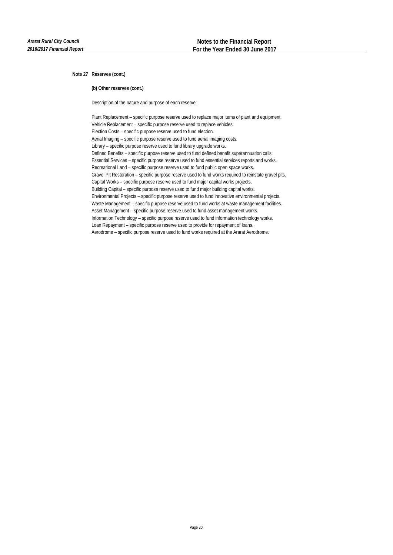**Note 27 Reserves (cont.)**

**(b) Other reserves (cont.)**

Description of the nature and purpose of each reserve:

Plant Replacement – specific purpose reserve used to replace major items of plant and equipment. Vehicle Replacement – specific purpose reserve used to replace vehicles. Election Costs – specific purpose reserve used to fund election. Aerial Imaging – specific purpose reserve used to fund aerial imaging costs. Library – specific purpose reserve used to fund library upgrade works. Defined Benefits – specific purpose reserve used to fund defined benefit superannuation calls. Essential Services – specific purpose reserve used to fund essential services reports and works. Recreational Land – specific purpose reserve used to fund public open space works. Gravel Pit Restoration – specific purpose reserve used to fund works required to reinstate gravel pits. Capital Works – specific purpose reserve used to fund major capital works projects. Building Capital – specific purpose reserve used to fund major building capital works. Environmental Projects – specific purpose reserve used to fund innovative environmental projects. Waste Management – specific purpose reserve used to fund works at waste management facilities. Asset Management – specific purpose reserve used to fund asset management works. Information Technology – specific purpose reserve used to fund information technology works. Loan Repayment – specific purpose reserve used to provide for repayment of loans. Aerodrome – specific purpose reserve used to fund works required at the Ararat Aerodrome.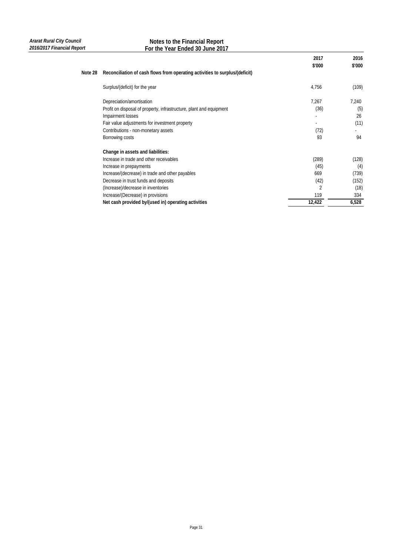|         |                                                                             | 2017<br>\$'000 | 2016<br>\$'000 |
|---------|-----------------------------------------------------------------------------|----------------|----------------|
| Note 28 | Reconciliation of cash flows from operating activities to surplus/(deficit) |                |                |
|         | Surplus/(deficit) for the year                                              | 4,756          | (109)          |
|         | Depreciation/amortisation                                                   | 7,267          | 7,240          |
|         | Profit on disposal of property, infrastructure, plant and equipment         | (36)           | (5)            |
|         | Impairment losses                                                           |                | 26             |
|         | Fair value adjustments for investment property                              |                | (11)           |
|         | Contributions - non-monetary assets                                         | (72)           |                |
|         | Borrowing costs                                                             | 93             | 94             |
|         | Change in assets and liabilities:                                           |                |                |
|         | Increase in trade and other receivables                                     | (289)          | (128)          |
|         | Increase in prepayments                                                     | (45)           | (4)            |
|         | Increase/(decrease) in trade and other payables                             | 669            | (739)          |
|         | Decrease in trust funds and deposits                                        | (42)           | (152)          |
|         | (Increase)/decrease in inventories                                          | 2              | (18)           |
|         | Increase/(Decrease) in provisions                                           | 119            | 334            |
|         | Net cash provided by/(used in) operating activities                         | 12,422         | 6,528          |
|         |                                                                             |                |                |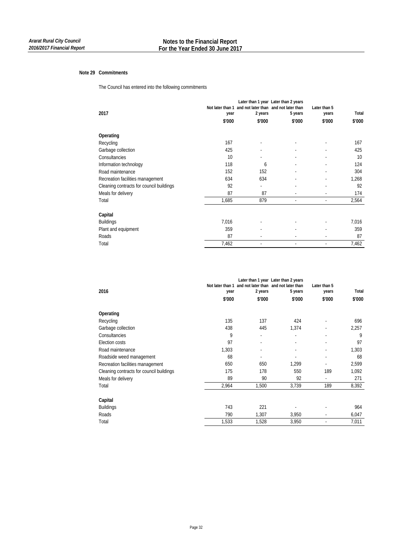## **Note 29 Commitments**

The Council has entered into the following commitments

| 2017                                     | year   | Not later than 1 and not later than and not later than<br>2 years | Later than 1 year Later than 2 years<br>5 years | Later than 5<br>years | Total  |
|------------------------------------------|--------|-------------------------------------------------------------------|-------------------------------------------------|-----------------------|--------|
|                                          | \$'000 | \$'000                                                            | \$'000                                          | \$'000                | \$'000 |
| Operating                                |        |                                                                   |                                                 |                       |        |
| Recycling                                | 167    |                                                                   |                                                 |                       | 167    |
| Garbage collection                       | 425    |                                                                   |                                                 |                       | 425    |
| Consultancies                            | 10     |                                                                   |                                                 |                       | 10     |
| Information technology                   | 118    | 6                                                                 |                                                 |                       | 124    |
| Road maintenance                         | 152    | 152                                                               |                                                 |                       | 304    |
| Recreation facilities management         | 634    | 634                                                               |                                                 |                       | 1,268  |
| Cleaning contracts for council buildings | 92     | ٠                                                                 |                                                 |                       | 92     |
| Meals for delivery                       | 87     | 87                                                                |                                                 |                       | 174    |
| Total                                    | 1,685  | 879                                                               |                                                 |                       | 2,564  |
| Capital                                  |        |                                                                   |                                                 |                       |        |
| <b>Buildings</b>                         | 7,016  |                                                                   |                                                 |                       | 7,016  |
| Plant and equipment                      | 359    |                                                                   |                                                 |                       | 359    |
| Roads                                    | 87     |                                                                   |                                                 |                       | 87     |
| Total                                    | 7,462  |                                                                   |                                                 |                       | 7,462  |

| 2016                                     | Not later than 1<br>year<br>\$'000 | 2 years<br>\$'000        | Later than 1 year Later than 2 years<br>and not later than and not later than<br>5 years<br>\$'000 | Later than 5<br>years<br>\$'000 | Total<br>\$'000 |
|------------------------------------------|------------------------------------|--------------------------|----------------------------------------------------------------------------------------------------|---------------------------------|-----------------|
| Operating                                |                                    |                          |                                                                                                    |                                 |                 |
| Recycling                                | 135                                | 137                      | 424                                                                                                |                                 | 696             |
| Garbage collection                       | 438                                | 445                      | 1,374                                                                                              |                                 | 2,257           |
| Consultancies                            | 9                                  | $\overline{\phantom{a}}$ |                                                                                                    |                                 | 9               |
| Election costs                           | 97                                 |                          |                                                                                                    |                                 | 97              |
| Road maintenance                         | 1,303                              |                          |                                                                                                    |                                 | 1,303           |
| Roadside weed management                 | 68                                 |                          |                                                                                                    |                                 | 68              |
| Recreation facilities management         | 650                                | 650                      | 1,299                                                                                              |                                 | 2,599           |
| Cleaning contracts for council buildings | 175                                | 178                      | 550                                                                                                | 189                             | 1,092           |
| Meals for delivery                       | 89                                 | 90                       | 92                                                                                                 |                                 | 271             |
| Total                                    | 2,964                              | 1,500                    | 3,739                                                                                              | 189                             | 8,392           |
| Capital                                  |                                    |                          |                                                                                                    |                                 |                 |
| <b>Buildings</b>                         | 743                                | 221                      |                                                                                                    |                                 | 964             |
| Roads                                    | 790                                | 1,307                    | 3,950                                                                                              |                                 | 6,047           |
| Total                                    | 1,533                              | 1,528                    | 3,950                                                                                              |                                 | 7,011           |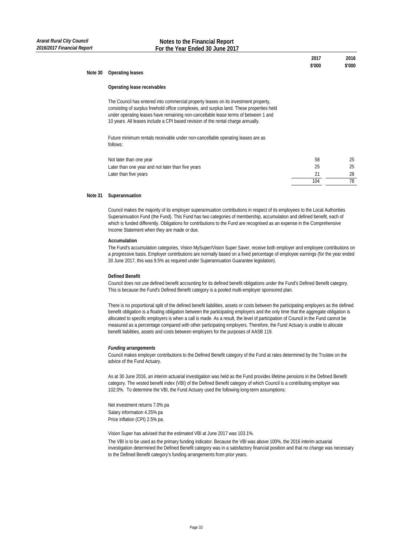| 2017   | 2016   |
|--------|--------|
| \$'000 | \$'000 |

#### **Note 30 Operating leases**

#### **Operating lease receivables**

The Council has entered into commercial property leases on its investment property, consisting of surplus freehold office complexes, and surplus land. These properties held under operating leases have remaining non-cancellable lease terms of between 1 and 10 years. All leases include a CPI based revision of the rental charge annually.

Future minimum rentals receivable under non-cancellable operating leases are as follows:

| Not later than one year                           | 58  |    |
|---------------------------------------------------|-----|----|
| Later than one year and not later than five years |     | 25 |
| Later than five years                             |     | 28 |
|                                                   | 104 |    |

## **Note 31 Superannuation**

Council makes the majority of its employer superannuation contributions in respect of its employees to the Local Authorities Superannuation Fund (the Fund). This Fund has two categories of membership, accumulation and defined benefit, each of which is funded differently. Obligations for contributions to the Fund are recognised as an expense in the Comprehensive Income Statement when they are made or due.

## **Accumulation**

The Fund's accumulation categories, Vision MySuper/Vision Super Saver, receive both employer and employee contributions on a progressive basis. Employer contributions are normally based on a fixed percentage of employee earnings (for the year ended 30 June 2017, this was 9.5% as required under Superannuation Guarantee legislation).

#### **Defined Benefit**

Council does not use defined benefit accounting for its defined benefit obligations under the Fund's Defined Benefit category. This is because the Fund's Defined Benefit category is a pooled multi-employer sponsored plan.

There is no proportional split of the defined benefit liabilities, assets or costs between the participating employers as the defined benefit obligation is a floating obligation between the participating employers and the only time that the aggregate obligation is allocated to specific employers is when a call is made. As a result, the level of participation of Council in the Fund cannot be measured as a percentage compared with other participating employers. Therefore, the Fund Actuary is unable to allocate benefit liabilities, assets and costs between employers for the purposes of AASB 119.

#### *Funding arrangements*

Council makes employer contributions to the Defined Benefit category of the Fund at rates determined by the Trustee on the advice of the Fund Actuary.

As at 30 June 2016, an interim actuarial investigation was held as the Fund provides lifetime pensions in the Defined Benefit category. The vested benefit index (VBI) of the Defined Benefit category of which Council is a contributing employer was 102.0%. To determine the VBI, the Fund Actuary used the following long-term assumptions:

Net investment returns 7.0% pa Salary information 4.25% pa Price inflation (CPI) 2.5% pa.

Vision Super has advised that the estimated VBI at June 2017 was 103.1%.

The VBI is to be used as the primary funding indicator. Because the VBI was above 100%, the 2016 interim actuarial investigation determined the Defined Benefit category was in a satisfactory financial position and that no change was necessary to the Defined Benefit category's funding arrangements from prior years.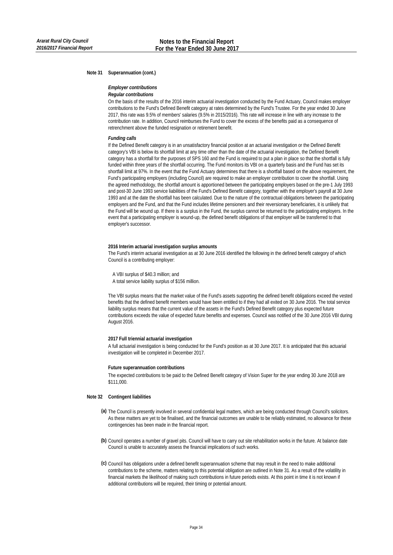#### **Note 31 Superannuation (cont.)**

## *Employer contributions*

#### *Regular contributions*

On the basis of the results of the 2016 interim actuarial investigation conducted by the Fund Actuary, Council makes employer contributions to the Fund's Defined Benefit category at rates determined by the Fund's Trustee. For the year ended 30 June 2017, this rate was 9.5% of members' salaries (9.5% in 2015/2016). This rate will increase in line with any increase to the contribution rate. In addition, Council reimburses the Fund to cover the excess of the benefits paid as a consequence of retrenchment above the funded resignation or retirement benefit.

#### *Funding calls*

If the Defined Benefit category is in an unsatisfactory financial position at an actuarial investigation or the Defined Benefit category's VBI is below its shortfall limit at any time other than the date of the actuarial investigation, the Defined Benefit category has a shortfall for the purposes of SPS 160 and the Fund is required to put a plan in place so that the shortfall is fully funded within three years of the shortfall occurring. The Fund monitors its VBI on a quarterly basis and the Fund has set its shortfall limit at 97%. In the event that the Fund Actuary determines that there is a shortfall based on the above requirement, the Fund's participating employers (including Council) are required to make an employer contribution to cover the shortfall. Using the agreed methodology, the shortfall amount is apportioned between the participating employers based on the pre-1 July 1993 and post-30 June 1993 service liabilities of the Fund's Defined Benefit category, together with the employer's payroll at 30 June 1993 and at the date the shortfall has been calculated. Due to the nature of the contractual obligations between the participating employers and the Fund, and that the Fund includes lifetime pensioners and their reversionary beneficiaries, it is unlikely that the Fund will be wound up. If there is a surplus in the Fund, the surplus cannot be returned to the participating employers. In the event that a participating employer is wound-up, the defined benefit obligations of that employer will be transferred to that employer's successor.

#### **2016 Interim actuarial investigation surplus amounts**

The Fund's interim actuarial investigation as at 30 June 2016 identified the following in the defined benefit category of which Council is a contributing employer:

A VBI surplus of \$40.3 million; and

A total service liability surplus of \$156 million.

The VBI surplus means that the market value of the Fund's assets supporting the defined benefit obligations exceed the vested benefits that the defined benefit members would have been entitled to if they had all exited on 30 June 2016. The total service liability surplus means that the current value of the assets in the Fund's Defined Benefit category plus expected future contributions exceeds the value of expected future benefits and expenses. Council was notified of the 30 June 2016 VBI during August 2016.

#### **2017 Full triennial actuarial investigation**

A full actuarial investigation is being conducted for the Fund's position as at 30 June 2017. It is anticipated that this actuarial investigation will be completed in December 2017.

#### **Future superannuation contributions**

The expected contributions to be paid to the Defined Benefit category of Vision Super for the year ending 30 June 2018 are \$111,000.

## **Note 32 Contingent liabilities**

- **(a)** The Council is presently involved in several confidential legal matters, which are being conducted through Council's solicitors. As these matters are yet to be finalised, and the financial outcomes are unable to be reliably estimated, no allowance for these contingencies has been made in the financial report.
- **(b)** Council operates a number of gravel pits. Council will have to carry out site rehabilitation works in the future. At balance date Council is unable to accurately assess the financial implications of such works.
- **(c)** Council has obligations under a defined benefit superannuation scheme that may result in the need to make additional contributions to the scheme, matters relating to this potential obligation are outlined in Note 31. As a result of the volatility in financial markets the likelihood of making such contributions in future periods exists. At this point in time it is not known if additional contributions will be required, their timing or potential amount.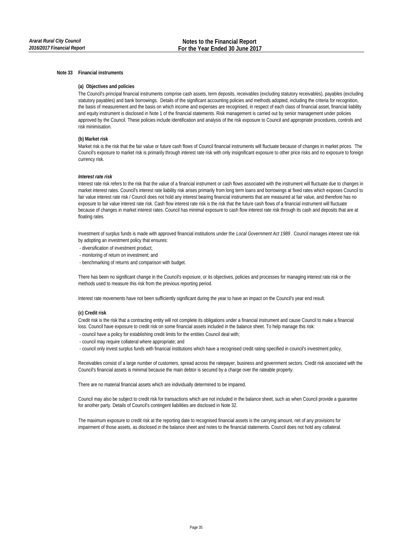## **Note 33 Financial instruments**

## **(a) Objectives and policies**

The Council's principal financial instruments comprise cash assets, term deposits, receivables (excluding statutory receivables), payables (excluding statutory payables) and bank borrowings. Details of the significant accounting policies and methods adopted, including the criteria for recognition, the basis of measurement and the basis on which income and expenses are recognised, in respect of each class of financial asset, financial liability and equity instrument is disclosed in Note 1 of the financial statements. Risk management is carried out by senior management under policies approved by the Council. These policies include identification and analysis of the risk exposure to Council and appropriate procedures, controls and risk minimisation.

## **(b) Market risk**

Market risk is the risk that the fair value or future cash flows of Council financial instruments will fluctuate because of changes in market prices. The Council's exposure to market risk is primarily through interest rate risk with only insignificant exposure to other price risks and no exposure to foreign currency risk.

## *Interest rate risk*

Interest rate risk refers to the risk that the value of a financial instrument or cash flows associated with the instrument will fluctuate due to changes in market interest rates. Council's interest rate liability risk arises primarily from long term loans and borrowings at fixed rates which exposes Council to fair value interest rate risk / Council does not hold any interest bearing financial instruments that are measured at fair value, and therefore has no exposure to fair value interest rate risk. Cash flow interest rate risk is the risk that the future cash flows of a financial instrument will fluctuate because of changes in market interest rates. Council has minimal exposure to cash flow interest rate risk through its cash and deposits that are at floating rates.

Investment of surplus funds is made with approved financial institutions under the *Local Government Act 1989* . Council manages interest rate risk by adopting an investment policy that ensures:

- diversification of investment product;
- monitoring of return on investment; and
- benchmarking of returns and comparison with budget.

There has been no significant change in the Council's exposure, or its objectives, policies and processes for managing interest rate risk or the methods used to measure this risk from the previous reporting period.

Interest rate movements have not been sufficiently significant during the year to have an impact on the Council's year end result.

#### **(c) Credit risk**

Credit risk is the risk that a contracting entity will not complete its obligations under a financial instrument and cause Council to make a financial loss. Council have exposure to credit risk on some financial assets included in the balance sheet. To help manage this risk:

- council have a policy for establishing credit limits for the entities Council deal with;
- council may require collateral where appropriate; and
- council only invest surplus funds with financial institutions which have a recognised credit rating specified in council's investment policy.

Receivables consist of a large number of customers, spread across the ratepayer, business and government sectors. Credit risk associated with the Council's financial assets is minimal because the main debtor is secured by a charge over the rateable property.

There are no material financial assets which are individually determined to be impaired.

Council may also be subject to credit risk for transactions which are not included in the balance sheet, such as when Council provide a guarantee for another party. Details of Council's contingent liabilities are disclosed in Note 32.

The maximum exposure to credit risk at the reporting date to recognised financial assets is the carrying amount, net of any provisions for impairment of those assets, as disclosed in the balance sheet and notes to the financial statements. Council does not hold any collateral.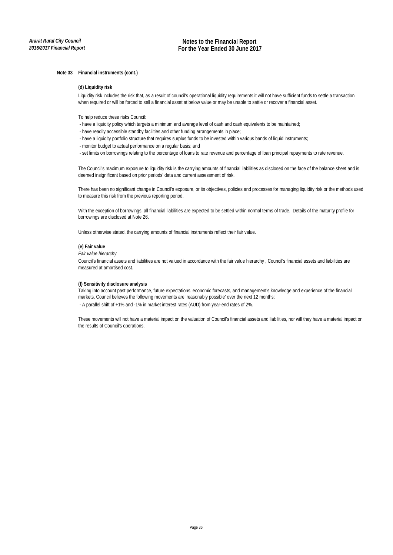## **Note 33 Financial instruments (cont.)**

## **(d) Liquidity risk**

Liquidity risk includes the risk that, as a result of council's operational liquidity requirements it will not have sufficient funds to settle a transaction when required or will be forced to sell a financial asset at below value or may be unable to settle or recover a financial asset.

To help reduce these risks Council:

- have a liquidity policy which targets a minimum and average level of cash and cash equivalents to be maintained;
- have readily accessible standby facilities and other funding arrangements in place;
- have a liquidity portfolio structure that requires surplus funds to be invested within various bands of liquid instruments;
- monitor budget to actual performance on a regular basis; and
- set limits on borrowings relating to the percentage of loans to rate revenue and percentage of loan principal repayments to rate revenue.

The Council's maximum exposure to liquidity risk is the carrying amounts of financial liabilities as disclosed on the face of the balance sheet and is deemed insignificant based on prior periods' data and current assessment of risk.

There has been no significant change in Council's exposure, or its objectives, policies and processes for managing liquidity risk or the methods used to measure this risk from the previous reporting period.

With the exception of borrowings, all financial liabilities are expected to be settled within normal terms of trade. Details of the maturity profile for borrowings are disclosed at Note 26.

Unless otherwise stated, the carrying amounts of financial instruments reflect their fair value.

## **(e) Fair value**

*Fair value hierarchy*

Council's financial assets and liabilities are not valued in accordance with the fair value hierarchy , Council's financial assets and liabilities are measured at amortised cost.

## **(f) Sensitivity disclosure analysis**

 - A parallel shift of +1% and -1% in market interest rates (AUD) from year-end rates of 2%. Taking into account past performance, future expectations, economic forecasts, and management's knowledge and experience of the financial markets, Council believes the following movements are 'reasonably possible' over the next 12 months:

These movements will not have a material impact on the valuation of Council's financial assets and liabilities, nor will they have a material impact on the results of Council's operations.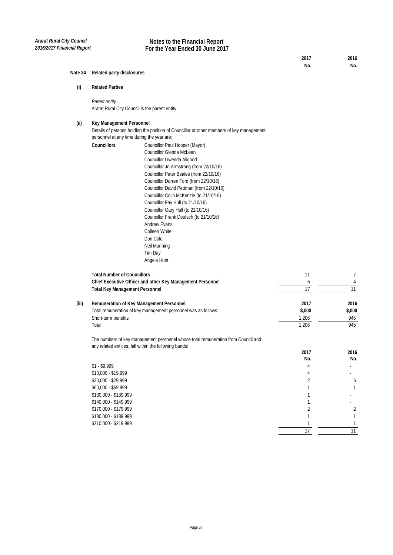| Note 34 | Related party disclosures                                                                                                                                                              |                                                                                                                                                                                                                                                                                                                                                                                                                                                                                                                                   |                                                                                  |                                      |  |
|---------|----------------------------------------------------------------------------------------------------------------------------------------------------------------------------------------|-----------------------------------------------------------------------------------------------------------------------------------------------------------------------------------------------------------------------------------------------------------------------------------------------------------------------------------------------------------------------------------------------------------------------------------------------------------------------------------------------------------------------------------|----------------------------------------------------------------------------------|--------------------------------------|--|
| (i)     | <b>Related Parties</b>                                                                                                                                                                 |                                                                                                                                                                                                                                                                                                                                                                                                                                                                                                                                   |                                                                                  |                                      |  |
|         | Parent entity                                                                                                                                                                          | Ararat Rural City Council is the parent entity.                                                                                                                                                                                                                                                                                                                                                                                                                                                                                   |                                                                                  |                                      |  |
| (ii)    | Key Management Personnel<br>Details of persons holding the position of Councillor or other members of key management<br>personnel at any time during the year are:                     |                                                                                                                                                                                                                                                                                                                                                                                                                                                                                                                                   |                                                                                  |                                      |  |
|         | Councillors                                                                                                                                                                            | Councillor Paul Hooper (Mayor)<br>Councillor Glenda McLean<br>Councillor Gwenda Allgood<br>Councillor Jo Armstrong (from 22/10/16)<br>Councillor Peter Beales (from 22/10/16)<br>Councillor Darren Ford (from 22/10/16)<br>Councillor David Pettman (from 22/10/16)<br>Councillor Colin McKenzie (to 21/10/16)<br>Councillor Fay Hull (to 21/10/16)<br>Councillor Gary Hull (to 21/10/16)<br>Councillor Frank Deutsch (to 21/10/16)<br><b>Andrew Evans</b><br>Colleen White<br>Don Cole<br>Neil Manning<br>Tim Day<br>Angela Hunt |                                                                                  |                                      |  |
|         | <b>Total Number of Councillors</b><br><b>Total Key Management Personnel</b>                                                                                                            | Chief Executive Officer and other Key Management Personnel                                                                                                                                                                                                                                                                                                                                                                                                                                                                        | 11<br>6<br>17                                                                    | 7<br>4<br>11                         |  |
| (iii)   | Short-term benefits<br>Total                                                                                                                                                           | Remuneration of Key Management Personnel<br>Total remuneration of key management personnel was as follows:                                                                                                                                                                                                                                                                                                                                                                                                                        | 2017<br>\$,000<br>1,206<br>1,206                                                 | 2016<br>\$,000<br>945<br>945         |  |
|         |                                                                                                                                                                                        | The numbers of key management personnel whose total remuneration from Council and<br>any related entities, fall within the following bands:                                                                                                                                                                                                                                                                                                                                                                                       | 2017                                                                             | 2016                                 |  |
|         | $$1 - $9,999$<br>\$10,000 - \$19,999<br>\$20,000 - \$29,999<br>\$60,000 - \$69,999<br>\$130,000 - \$139,999<br>\$140,000 - \$149,999<br>\$170,000 - \$179,999<br>\$180,000 - \$189,999 |                                                                                                                                                                                                                                                                                                                                                                                                                                                                                                                                   | No.<br>4<br>4<br>$\overline{2}$<br>1<br>1<br>1<br>$\overline{2}$<br>$\mathbf{1}$ | No.<br>6<br>1<br>$\overline{2}$<br>1 |  |
|         | \$210,000 - \$219,999                                                                                                                                                                  |                                                                                                                                                                                                                                                                                                                                                                                                                                                                                                                                   | 1                                                                                | 1                                    |  |

**2017 2016 No. No.**

 1 1 11 17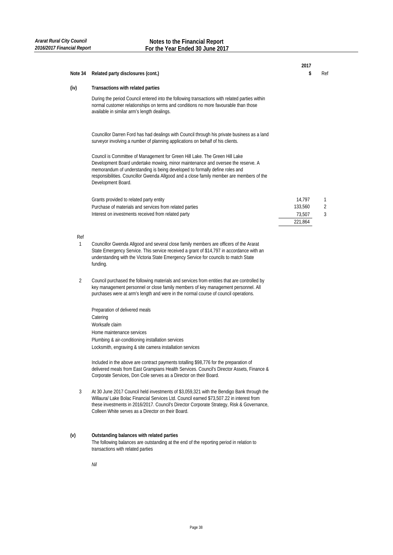|                |                                                                                                                                                                                                                                                                                                                                                                  | 2017    |     |
|----------------|------------------------------------------------------------------------------------------------------------------------------------------------------------------------------------------------------------------------------------------------------------------------------------------------------------------------------------------------------------------|---------|-----|
| Note 34        | Related party disclosures (cont.)                                                                                                                                                                                                                                                                                                                                | \$      | Ref |
| (iv)           | Transactions with related parties                                                                                                                                                                                                                                                                                                                                |         |     |
|                | During the period Council entered into the following transactions with related parties within<br>normal customer relationships on terms and conditions no more favourable than those<br>available in similar arm's length dealings.                                                                                                                              |         |     |
|                | Councillor Darren Ford has had dealings with Council through his private business as a land<br>surveyor involving a number of planning applications on behalf of his clients.                                                                                                                                                                                    |         |     |
|                | Council is Committee of Management for Green Hill Lake. The Green Hill Lake<br>Development Board undertake mowing, minor maintenance and oversee the reserve. A<br>memorandum of understanding is being developed to formally define roles and<br>responsibilities. Councillor Gwenda Allgood and a close family member are members of the<br>Development Board. |         |     |
|                | Grants provided to related party entity                                                                                                                                                                                                                                                                                                                          | 14,797  | 1   |
|                | Purchase of materials and services from related parties                                                                                                                                                                                                                                                                                                          | 133,560 | 2   |
|                | Interest on investments received from related party                                                                                                                                                                                                                                                                                                              | 73,507  | 3   |
|                |                                                                                                                                                                                                                                                                                                                                                                  | 221,864 |     |
| Ref            |                                                                                                                                                                                                                                                                                                                                                                  |         |     |
| $\mathbf{1}$   | Councillor Gwenda Allgood and several close family members are officers of the Ararat<br>State Emergency Service. This service received a grant of \$14,797 in accordance with an<br>understanding with the Victoria State Emergency Service for councils to match State<br>funding.                                                                             |         |     |
| 2              | Council purchased the following materials and services from entities that are controlled by<br>key management personnel or close family members of key management personnel. All<br>purchases were at arm's length and were in the normal course of council operations.                                                                                          |         |     |
|                | Preparation of delivered meals                                                                                                                                                                                                                                                                                                                                   |         |     |
|                | Catering                                                                                                                                                                                                                                                                                                                                                         |         |     |
|                | Worksafe claim                                                                                                                                                                                                                                                                                                                                                   |         |     |
|                | Home maintenance services                                                                                                                                                                                                                                                                                                                                        |         |     |
|                | Plumbing & air-conditioning installation services                                                                                                                                                                                                                                                                                                                |         |     |
|                | Locksmith, engraving & site camera installation services                                                                                                                                                                                                                                                                                                         |         |     |
|                | Included in the above are contract payments totalling \$98,776 for the preparation of<br>delivered meals from East Grampians Health Services. Council's Director Assets, Finance &<br>Corporate Services, Don Cole serves as a Director on their Board.                                                                                                          |         |     |
| $\mathfrak{Z}$ | At 30 June 2017 Council held investments of \$3,059,321 with the Bendigo Bank through the<br>Willaura/ Lake Bolac Financial Services Ltd. Council earned \$73,507.22 in interest from<br>these investments in 2016/2017. Council's Director Corporate Strategy, Risk & Governance,<br>Colleen White serves as a Director on their Board.                         |         |     |
| (v)            | Outstanding balances with related parties<br>The following balances are outstanding at the end of the reporting period in relation to<br>transactions with related parties                                                                                                                                                                                       |         |     |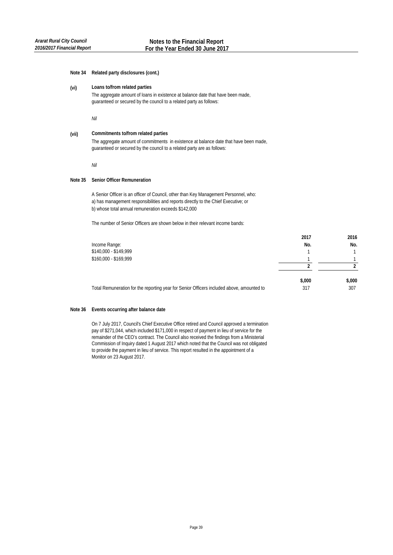## **Note 34 Related party disclosures (cont.)**

#### **(vi) Loans to/from related parties**

The aggregate amount of loans in existence at balance date that have been made, guaranteed or secured by the council to a related party as follows:

*Nil*

#### **(vii)** The aggregate amount of commitments in existence at balance date that have been made, guaranteed or secured by the council to a related party are as follows: **Commitments to/from related parties**

*Nil*

## **Note 35 Senior Officer Remuneration**

A Senior Officer is an officer of Council, other than Key Management Personnel, who: a) has management responsibilities and reports directly to the Chief Executive; or b) whose total annual remuneration exceeds \$142,000

The number of Senior Officers are shown below in their relevant income bands:

| 2017   | 2016   |
|--------|--------|
| No.    | No.    |
|        |        |
|        |        |
|        |        |
| \$,000 | \$,000 |
| 317    | 307    |
|        |        |

## **Note 36 Events occurring after balance date**

On 7 July 2017, Council's Chief Executive Office retired and Council approved a termination pay of \$271,044, which included \$171,000 in respect of payment in lieu of service for the remainder of the CEO's contract. The Council also received the findings from a Ministerial Commission of Inquiry dated 1 August 2017 which noted that the Council was not obligated to provide the payment in lieu of service. This report resulted in the appointment of a Monitor on 23 August 2017.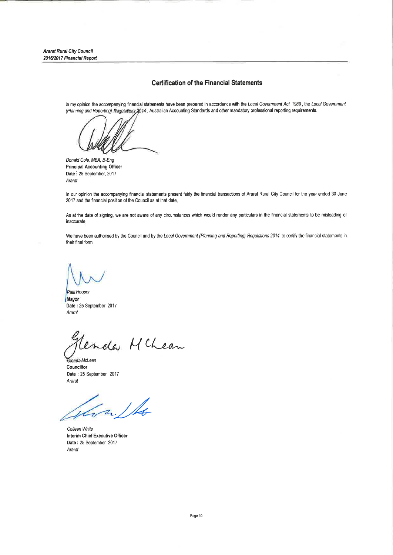**Ararat Rural City Council** 2016/2017 Financial Report

# **Certification of the Financial Statements**

In my opinion the accompanying financial statements have been prepared in accordance with the Local Government Act 1989, the Local Government (Planning and Reporting) Regulations 2014 , Australian Accounting Standards and other mandatory professional reporting requirements.

Donald Cole, MBA, B-Eng **Principal Accounting Officer** Date: 25 September, 2017 Ararat

In our opinion the accompanying financial statements present fairly the financial transactions of Ararat Rural City Council for the year ended 30 June 2017 and the financial position of the Council as at that date.

As at the date of signing, we are not aware of any circumstances which would render any particulars in the financial statements to be misleading or inaccurate.

We have been authorised by the Council and by the Local Government (Planning and Reporting) Regulations 2014 to certify the financial statements in their final form.

Paul Hooper Mayor Date: 25 September 2017 Ararat

Lenda McLean

Glenda McLean Councillor Date: 25 September 2017 Ararat

Jan 1 /

Colleen White Interim Chief Executive Officer Date: 25 September 2017 Ararat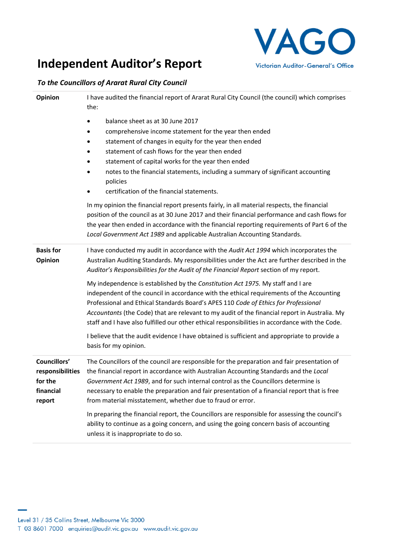# **Independent Auditor's Report**

# *To the Councillors of Ararat Rural City Council*

| Opinion                                                            | I have audited the financial report of Ararat Rural City Council (the council) which comprises<br>the:                                                                                                                                                                                                                                                                                                                                                                 |  |
|--------------------------------------------------------------------|------------------------------------------------------------------------------------------------------------------------------------------------------------------------------------------------------------------------------------------------------------------------------------------------------------------------------------------------------------------------------------------------------------------------------------------------------------------------|--|
|                                                                    | balance sheet as at 30 June 2017<br>comprehensive income statement for the year then ended<br>statement of changes in equity for the year then ended<br>٠<br>statement of cash flows for the year then ended<br>statement of capital works for the year then ended<br>notes to the financial statements, including a summary of significant accounting<br>policies<br>certification of the financial statements.<br>٠                                                  |  |
|                                                                    | In my opinion the financial report presents fairly, in all material respects, the financial<br>position of the council as at 30 June 2017 and their financial performance and cash flows for<br>the year then ended in accordance with the financial reporting requirements of Part 6 of the<br>Local Government Act 1989 and applicable Australian Accounting Standards.                                                                                              |  |
| <b>Basis for</b><br>Opinion                                        | I have conducted my audit in accordance with the Audit Act 1994 which incorporates the<br>Australian Auditing Standards. My responsibilities under the Act are further described in the<br>Auditor's Responsibilities for the Audit of the Financial Report section of my report.                                                                                                                                                                                      |  |
|                                                                    | My independence is established by the Constitution Act 1975. My staff and I are<br>independent of the council in accordance with the ethical requirements of the Accounting<br>Professional and Ethical Standards Board's APES 110 Code of Ethics for Professional<br>Accountants (the Code) that are relevant to my audit of the financial report in Australia. My<br>staff and I have also fulfilled our other ethical responsibilities in accordance with the Code. |  |
|                                                                    | I believe that the audit evidence I have obtained is sufficient and appropriate to provide a<br>basis for my opinion.                                                                                                                                                                                                                                                                                                                                                  |  |
| Councillors'<br>responsibilities<br>for the<br>financial<br>report | The Councillors of the council are responsible for the preparation and fair presentation of<br>the financial report in accordance with Australian Accounting Standards and the Local<br>Government Act 1989, and for such internal control as the Councillors determine is<br>necessary to enable the preparation and fair presentation of a financial report that is free<br>from material misstatement, whether due to fraud or error.                               |  |
|                                                                    | In preparing the financial report, the Councillors are responsible for assessing the council's<br>ability to continue as a going concern, and using the going concern basis of accounting<br>unless it is inappropriate to do so.                                                                                                                                                                                                                                      |  |